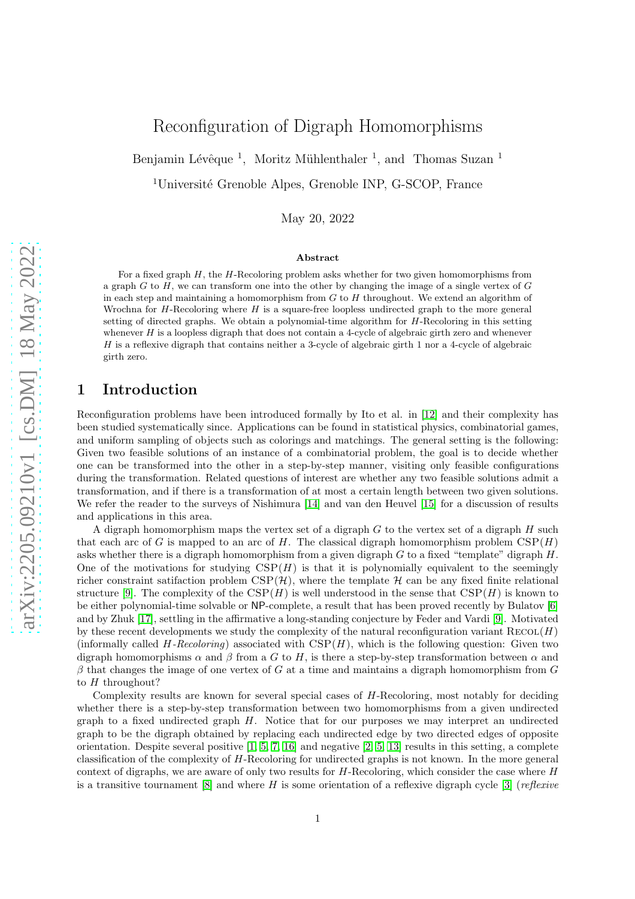# Reconfiguration of Digraph Homomorphisms

Benjamin Lévêque<sup>1</sup>, Moritz Mühlenthaler<sup>1</sup>, and Thomas Suzan<sup>1</sup>

<sup>1</sup>Université Grenoble Alpes, Grenoble INP, G-SCOP, France

May 20, 2022

#### Abstract

For a fixed graph  $H$ , the  $H$ -Recoloring problem asks whether for two given homomorphisms from a graph G to H, we can transform one into the other by changing the image of a single vertex of G in each step and maintaining a homomorphism from  $G$  to  $H$  throughout. We extend an algorithm of Wrochna for  $H$ -Recoloring where  $H$  is a square-free loopless undirected graph to the more general setting of directed graphs. We obtain a polynomial-time algorithm for H-Recoloring in this setting whenever  $H$  is a loopless digraph that does not contain a 4-cycle of algebraic girth zero and whenever  $H$  is a reflexive digraph that contains neither a 3-cycle of algebraic girth 1 nor a 4-cycle of algebraic girth zero.

## 1 Introduction

Reconfiguration problems have been introduced formally by Ito et al. in [\[12\]](#page-23-0) and their complexity has been studied systematically since. Applications can be found in statistical physics, combinatorial games, and uniform sampling of objects such as colorings and matchings. The general setting is the following: Given two feasible solutions of an instance of a combinatorial problem, the goal is to decide whether one can be transformed into the other in a step-by-step manner, visiting only feasible configurations during the transformation. Related questions of interest are whether any two feasible solutions admit a transformation, and if there is a transformation of at most a certain length between two given solutions. We refer the reader to the surveys of Nishimura [\[14\]](#page-23-1) and van den Heuvel [\[15\]](#page-23-2) for a discussion of results and applications in this area.

A digraph homomorphism maps the vertex set of a digraph  $G$  to the vertex set of a digraph  $H$  such that each arc of G is mapped to an arc of H. The classical digraph homomorphism problem  $CSP(H)$ asks whether there is a digraph homomorphism from a given digraph  $G$  to a fixed "template" digraph  $H$ . One of the motivations for studying  $CSP(H)$  is that it is polynomially equivalent to the seemingly richer constraint satifaction problem  $CSP(H)$ , where the template H can be any fixed finite relational structure [\[9\]](#page-23-3). The complexity of the  $CSP(H)$  is well understood in the sense that  $CSP(H)$  is known to be either polynomial-time solvable or NP-complete, a result that has been proved recently by Bulatov [\[6\]](#page-23-4) and by Zhuk [\[17\]](#page-23-5), settling in the affirmative a long-standing conjecture by Feder and Vardi [\[9\]](#page-23-3). Motivated by these recent developments we study the complexity of the natural reconfiguration variant  $\text{RECOL}(H)$ (informally called  $H$ -Recoloring) associated with  $CSP(H)$ , which is the following question: Given two digraph homomorphisms  $\alpha$  and  $\beta$  from a G to H, is there a step-by-step transformation between  $\alpha$  and  $\beta$  that changes the image of one vertex of G at a time and maintains a digraph homomorphism from G to  $H$  throughout?

Complexity results are known for several special cases of H-Recoloring, most notably for deciding whether there is a step-by-step transformation between two homomorphisms from a given undirected graph to a fixed undirected graph  $H$ . Notice that for our purposes we may interpret an undirected graph to be the digraph obtained by replacing each undirected edge by two directed edges of opposite orientation. Despite several positive  $[1, 5, 7, 16]$  $[1, 5, 7, 16]$  $[1, 5, 7, 16]$  $[1, 5, 7, 16]$  and negative  $[2, 5, 13]$  $[2, 5, 13]$  results in this setting, a complete classification of the complexity of H-Recoloring for undirected graphs is not known. In the more general context of digraphs, we are aware of only two results for  $H$ -Recoloring, which consider the case where  $H$ is a transitive tournament [\[8\]](#page-23-10) and where H is some orientation of a reflexive digraph cycle [\[3\]](#page-22-2) (*reflexive*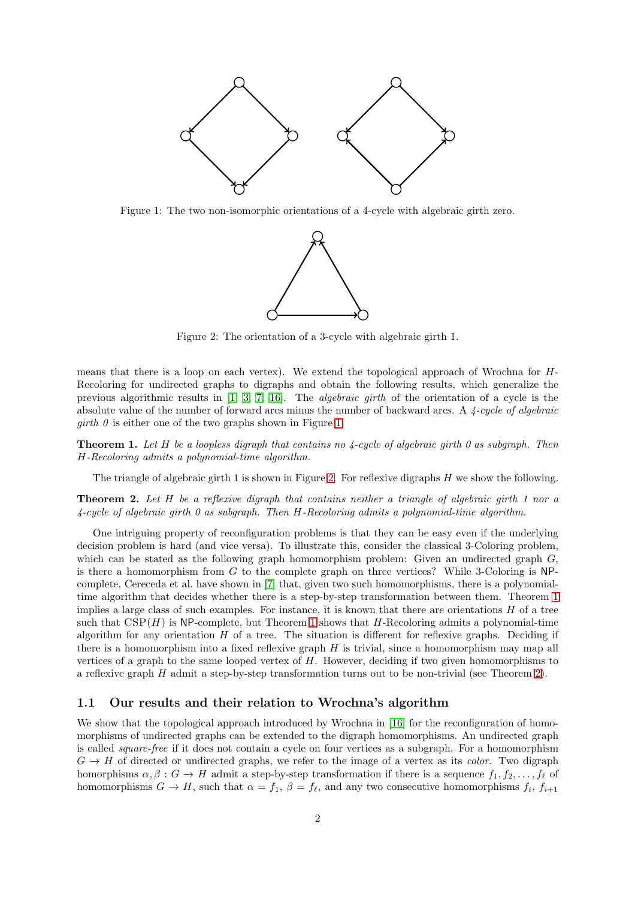<span id="page-1-0"></span>

<span id="page-1-1"></span>Figure 1: The two non-isomorphic orientations of a 4-cycle with algebraic girth zero.



Figure 2: The orientation of a 3-cycle with algebraic girth 1.

means that there is a loop on each vertex). We extend the topological approach of Wrochna for H-Recoloring for undirected graphs to digraphs and obtain the following results, which generalize the previous algorithmic results in [\[1,](#page-22-0) [3,](#page-22-2) [7,](#page-23-7) [16\]](#page-23-8). The *algebraic girth* of the orientation of a cycle is the absolute value of the number of forward arcs minus the number of backward arcs. A *4-cycle of algebraic girth 0* is either one of the two graphs shown in Figure [1.](#page-1-0)

<span id="page-1-2"></span>Theorem 1. *Let* H *be a loopless digraph that contains no 4-cycle of algebraic girth 0 as subgraph. Then* H*-Recoloring admits a polynomial-time algorithm.*

The triangle of algebraic girth 1 is shown in Figure [2.](#page-1-1) For reflexive digraphs H we show the following.

<span id="page-1-3"></span>Theorem 2. *Let* H *be a reflexive digraph that contains neither a triangle of algebraic girth 1 nor a 4-cycle of algebraic girth 0 as subgraph. Then* H*-Recoloring admits a polynomial-time algorithm.*

One intriguing property of reconfiguration problems is that they can be easy even if the underlying decision problem is hard (and vice versa). To illustrate this, consider the classical 3-Coloring problem, which can be stated as the following graph homomorphism problem: Given an undirected graph  $G$ , is there a homomorphism from  $G$  to the complete graph on three vertices? While 3-Coloring is NPcomplete, Cereceda et al. have shown in [\[7\]](#page-23-7) that, given two such homomorphisms, there is a polynomialtime algorithm that decides whether there is a step-by-step transformation between them. Theorem [1](#page-1-2) implies a large class of such examples. For instance, it is known that there are orientations  $H$  of a tree such that  $CSP(H)$  is NP-complete, but Theorem [1](#page-1-2) shows that H-Recoloring admits a polynomial-time algorithm for any orientation  $H$  of a tree. The situation is different for reflexive graphs. Deciding if there is a homomorphism into a fixed reflexive graph  $H$  is trivial, since a homomorphism may map all vertices of a graph to the same looped vertex of  $H$ . However, deciding if two given homomorphisms to a reflexive graph H admit a step-by-step transformation turns out to be non-trivial (see Theorem [2\)](#page-1-3).

### 1.1 Our results and their relation to Wrochna's algorithm

We show that the topological approach introduced by Wrochna in [\[16\]](#page-23-8) for the reconfiguration of homomorphisms of undirected graphs can be extended to the digraph homomorphisms. An undirected graph is called *square-free* if it does not contain a cycle on four vertices as a subgraph. For a homomorphism  $G \to H$  of directed or undirected graphs, we refer to the image of a vertex as its *color*. Two digraph homorphisms  $\alpha, \beta : G \to H$  admit a step-by-step transformation if there is a sequence  $f_1, f_2, \ldots, f_\ell$  of homomorphisms  $G \to H$ , such that  $\alpha = f_1$ ,  $\beta = f_\ell$ , and any two consecutive homomorphisms  $f_i$ ,  $f_{i+1}$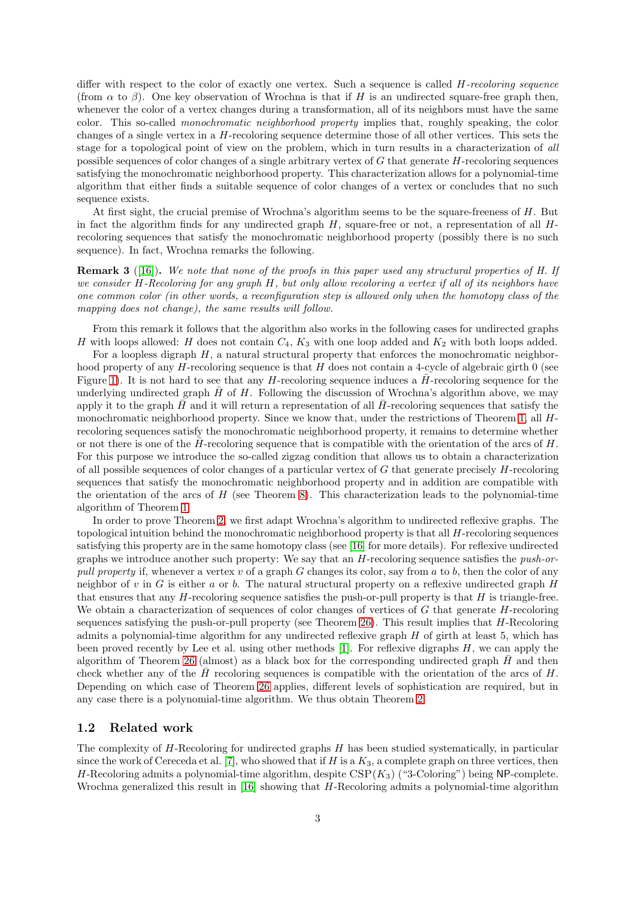differ with respect to the color of exactly one vertex. Such a sequence is called H*-recoloring sequence* (from  $\alpha$  to  $\beta$ ). One key observation of Wrochna is that if H is an undirected square-free graph then, whenever the color of a vertex changes during a transformation, all of its neighbors must have the same color. This so-called *monochromatic neighborhood property* implies that, roughly speaking, the color changes of a single vertex in a  $H$ -recoloring sequence determine those of all other vertices. This sets the stage for a topological point of view on the problem, which in turn results in a characterization of *all* possible sequences of color changes of a single arbitrary vertex of G that generate H-recoloring sequences satisfying the monochromatic neighborhood property. This characterization allows for a polynomial-time algorithm that either finds a suitable sequence of color changes of a vertex or concludes that no such sequence exists.

At first sight, the crucial premise of Wrochna's algorithm seems to be the square-freeness of H. But in fact the algorithm finds for any undirected graph  $H$ , square-free or not, a representation of all  $H$ recoloring sequences that satisfy the monochromatic neighborhood property (possibly there is no such sequence). In fact, Wrochna remarks the following.

<span id="page-2-0"></span>Remark 3 ([\[16\]](#page-23-8)). *We note that none of the proofs in this paper used any structural properties of H. If we consider* H*-Recoloring for any graph* H*, but only allow recoloring a vertex if all of its neighbors have one common color (in other words, a reconfiguration step is allowed only when the homotopy class of the mapping does not change), the same results will follow.*

From this remark it follows that the algorithm also works in the following cases for undirected graphs H with loops allowed: H does not contain  $C_4$ ,  $K_3$  with one loop added and  $K_2$  with both loops added.

For a loopless digraph  $H$ , a natural structural property that enforces the monochromatic neighborhood property of any  $H$ -recoloring sequence is that  $H$  does not contain a 4-cycle of algebraic girth 0 (see Figure [1\)](#page-1-0). It is not hard to see that any H-recoloring sequence induces a  $\bar{H}$ -recoloring sequence for the underlying undirected graph  $\bar{H}$  of H. Following the discussion of Wrochna's algorithm above, we may apply it to the graph  $\bar{H}$  and it will return a representation of all  $\bar{H}$ -recoloring sequences that satisfy the monochromatic neighborhood property. Since we know that, under the restrictions of Theorem [1,](#page-1-2) all Hrecoloring sequences satisfy the monochromatic neighborhood property, it remains to determine whether or not there is one of the  $\bar{H}$ -recoloring sequence that is compatible with the orientation of the arcs of H. For this purpose we introduce the so-called zigzag condition that allows us to obtain a characterization of all possible sequences of color changes of a particular vertex of G that generate precisely H-recoloring sequences that satisfy the monochromatic neighborhood property and in addition are compatible with the orientation of the arcs of  $H$  (see Theorem [8\)](#page-9-0). This characterization leads to the polynomial-time algorithm of Theorem [1.](#page-1-2)

In order to prove Theorem [2,](#page-1-3) we first adapt Wrochna's algorithm to undirected reflexive graphs. The topological intuition behind the monochromatic neighborhood property is that all H-recoloring sequences satisfying this property are in the same homotopy class (see [\[16\]](#page-23-8) for more details). For reflexive undirected graphs we introduce another such property: We say that an H-recoloring sequence satisfies the *push-orpull property* if, whenever a vertex v of a graph G changes its color, say from a to b, then the color of any neighbor of v in G is either a or b. The natural structural property on a reflexive undirected graph  $H$ that ensures that any  $H$ -recoloring sequence satisfies the push-or-pull property is that  $H$  is triangle-free. We obtain a characterization of sequences of color changes of vertices of G that generate H-recoloring sequences satisfying the push-or-pull property (see Theorem [26\)](#page-16-0). This result implies that  $H$ -Recoloring admits a polynomial-time algorithm for any undirected reflexive graph H of girth at least 5, which has been proved recently by Lee et al. using other methods  $[1]$ . For reflexive digraphs  $H$ , we can apply the algorithm of Theorem [26](#page-16-0) (almost) as a black box for the corresponding undirected graph  $H$  and then check whether any of the  $\bar{H}$  recoloring sequences is compatible with the orientation of the arcs of H. Depending on which case of Theorem [26](#page-16-0) applies, different levels of sophistication are required, but in any case there is a polynomial-time algorithm. We thus obtain Theorem [2.](#page-1-3)

### 1.2 Related work

The complexity of H-Recoloring for undirected graphs H has been studied systematically, in particular since the work of Cereceda et al. [\[7\]](#page-23-7), who showed that if H is a  $K_3$ , a complete graph on three vertices, then H-Recoloring admits a polynomial-time algorithm, despite  $CSP(K_3)$  ("3-Coloring") being NP-complete. Wrochna generalized this result in [\[16\]](#page-23-8) showing that H-Recoloring admits a polynomial-time algorithm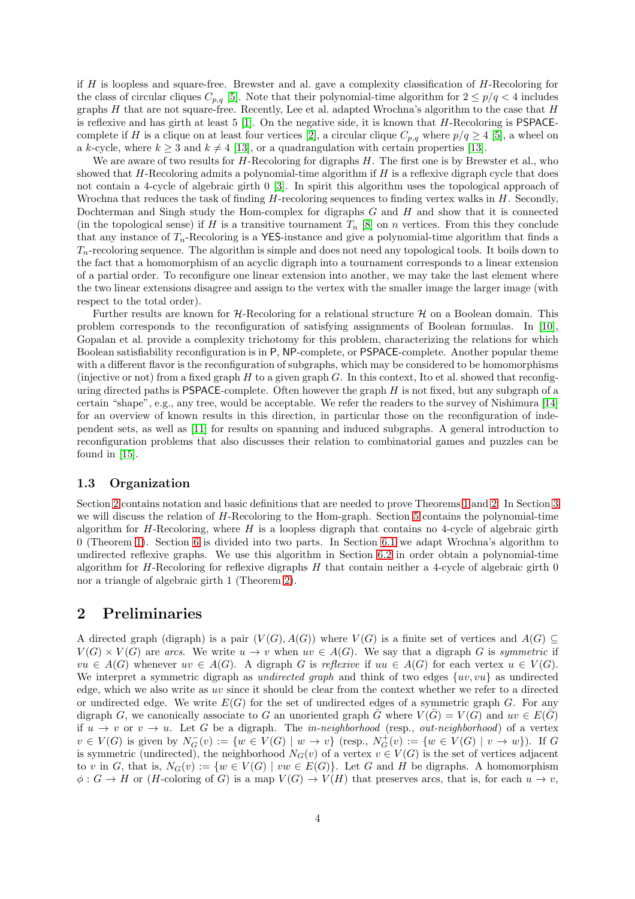if  $H$  is loopless and square-free. Brewster and al. gave a complexity classification of  $H$ -Recoloring for the class of circular cliques  $C_{p,q}$  [\[5\]](#page-23-6). Note that their polynomial-time algorithm for  $2 \leq p/q < 4$  includes graphs  $H$  that are not square-free. Recently, Lee et al. adapted Wrochna's algorithm to the case that  $H$ is reflexive and has girth at least  $5$  [\[1\]](#page-22-0). On the negative side, it is known that  $H$ -Recoloring is PSPACE-complete if H is a clique on at least four vertices [\[2\]](#page-22-1), a circular clique  $C_{p,q}$  where  $p/q \geq 4$  [\[5\]](#page-23-6), a wheel on a k-cycle, where  $k \geq 3$  and  $k \neq 4$  [\[13\]](#page-23-9), or a quadrangulation with certain properties [13].

We are aware of two results for  $H$ -Recoloring for digraphs  $H$ . The first one is by Brewster et al., who showed that  $H$ -Recoloring admits a polynomial-time algorithm if  $H$  is a reflexive digraph cycle that does not contain a 4-cycle of algebraic girth 0 [\[3\]](#page-22-2). In spirit this algorithm uses the topological approach of Wrochna that reduces the task of finding H-recoloring sequences to finding vertex walks in H. Secondly, Dochterman and Singh study the Hom-complex for digraphs  $G$  and  $H$  and show that it is connected (in the topological sense) if H is a transitive tournament  $T_n$  [\[8\]](#page-23-10) on n vertices. From this they conclude that any instance of  $T_n$ -Recoloring is a YES-instance and give a polynomial-time algorithm that finds a  $T_n$ -recoloring sequence. The algorithm is simple and does not need any topological tools. It boils down to the fact that a homomorphism of an acyclic digraph into a tournament corresponds to a linear extension of a partial order. To reconfigure one linear extension into another, we may take the last element where the two linear extensions disagree and assign to the vertex with the smaller image the larger image (with respect to the total order).

Further results are known for  $H$ -Recoloring for a relational structure  $H$  on a Boolean domain. This problem corresponds to the reconfiguration of satisfying assignments of Boolean formulas. In [\[10\]](#page-23-11), Gopalan et al. provide a complexity trichotomy for this problem, characterizing the relations for which Boolean satisfiability reconfiguration is in P, NP-complete, or PSPACE-complete. Another popular theme with a different flavor is the reconfiguration of subgraphs, which may be considered to be homomorphisms (injective or not) from a fixed graph  $H$  to a given graph  $G$ . In this context, Ito et al. showed that reconfiguring directed paths is PSPACE-complete. Often however the graph  $H$  is not fixed, but any subgraph of a certain "shape", e.g., any tree, would be acceptable. We refer the readers to the survey of Nishimura [\[14\]](#page-23-1) for an overview of known results in this direction, in particular those on the reconfiguration of independent sets, as well as [\[11\]](#page-23-12) for results on spanning and induced subgraphs. A general introduction to reconfiguration problems that also discusses their relation to combinatorial games and puzzles can be found in [\[15\]](#page-23-2).

### 1.3 Organization

Section [2](#page-3-0) contains notation and basic definitions that are needed to prove Theorems [1](#page-1-2) and [2.](#page-1-3) In Section [3](#page-5-0) we will discuss the relation of H-Recoloring to the Hom-graph. Section [5](#page-8-0) contains the polynomial-time algorithm for H-Recoloring, where  $H$  is a loopless digraph that contains no 4-cycle of algebraic girth 0 (Theorem [1\)](#page-1-2). Section [6](#page-14-0) is divided into two parts. In Section [6.1](#page-15-0) we adapt Wrochna's algorithm to undirected reflexive graphs. We use this algorithm in Section [6.2](#page-19-0) in order obtain a polynomial-time algorithm for H-Recoloring for reflexive digraphs  $H$  that contain neither a 4-cycle of algebraic girth 0 nor a triangle of algebraic girth 1 (Theorem [2\)](#page-1-3).

# <span id="page-3-0"></span>2 Preliminaries

A directed graph (digraph) is a pair  $(V(G), A(G))$  where  $V(G)$  is a finite set of vertices and  $A(G) \subseteq$  $V(G) \times V(G)$  are *arcs*. We write  $u \to v$  when  $uv \in A(G)$ . We say that a digraph G is *symmetric* if  $vu \in A(G)$  whenever  $uv \in A(G)$ . A digraph G is *reflexive* if  $uu \in A(G)$  for each vertex  $u \in V(G)$ . We interpret a symmetric digraph as *undirected graph* and think of two edges  $\{uv, vu\}$  as undirected edge, which we also write as uv since it should be clear from the context whether we refer to a directed or undirected edge. We write  $E(G)$  for the set of undirected edges of a symmetric graph G. For any digraph G, we canonically associate to G an unoriented graph G where  $V(G) = V(G)$  and  $uv \in E(G)$ if  $u \to v$  or  $v \to u$ . Let G be a digraph. The *in-neighborhood* (resp., *out-neighborhood*) of a vertex  $v \in V(G)$  is given by  $N_G^-(v) := \{w \in V(G) \mid w \to v\}$  (resp.,  $N_G^+(v) := \{w \in V(G) \mid v \to w\}$ ). If G is symmetric (undirected), the neighborhood  $N_G(v)$  of a vertex  $v \in V(G)$  is the set of vertices adjacent to v in G, that is,  $N_G(v) := \{w \in V(G) \mid vw \in E(G)\}\.$  Let G and H be digraphs. A homomorphism  $\phi: G \to H$  or (*H*-coloring of *G*) is a map  $V(G) \to V(H)$  that preserves arcs, that is, for each  $u \to v$ ,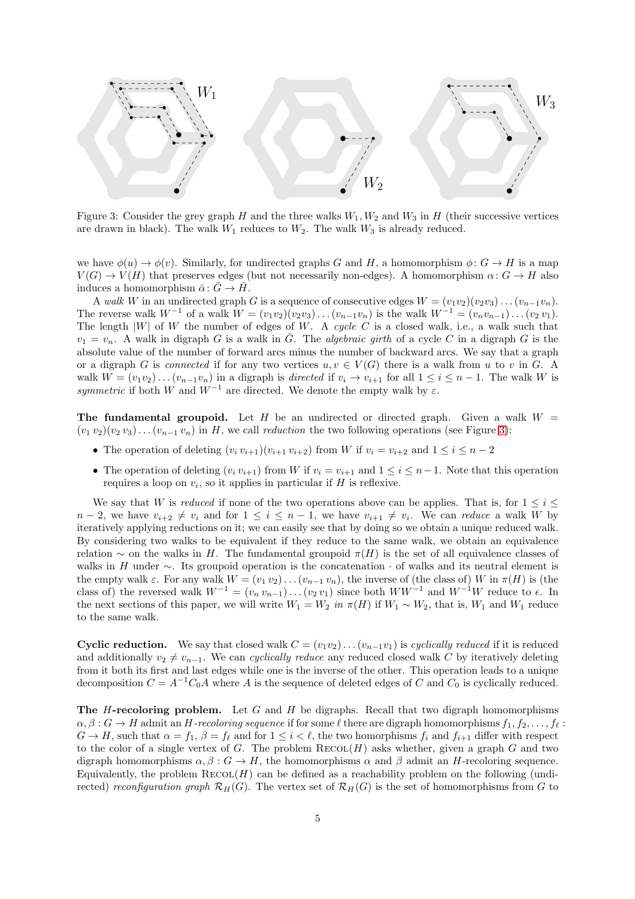<span id="page-4-0"></span>

Figure 3: Consider the grey graph H and the three walks  $W_1, W_2$  and  $W_3$  in H (their successive vertices are drawn in black). The walk  $W_1$  reduces to  $W_2$ . The walk  $W_3$  is already reduced.

we have  $\phi(u) \to \phi(v)$ . Similarly, for undirected graphs G and H, a homomorphism  $\phi: G \to H$  is a map  $V(G) \to V(H)$  that preserves edges (but not necessarily non-edges). A homomorphism  $\alpha: G \to H$  also induces a homomorphism  $\bar{\alpha}$ :  $\bar{G} \rightarrow \bar{H}$ .

A *walk* W in an undirected graph G is a sequence of consecutive edges  $W = (v_1v_2)(v_2v_3)\dots(v_{n-1}v_n)$ . The reverse walk  $W^{-1}$  of a walk  $W = (v_1v_2)(v_2v_3)\dots(v_{n-1}v_n)$  is the walk  $W^{-1} = (v_nv_{n-1})\dots(v_2 v_1)$ . The length  $|W|$  of W the number of edges of W. A *cycle* C is a closed walk, i.e., a walk such that  $v_1 = v_n$ . A walk in digraph G is a walk in  $\overline{G}$ . The *algebraic girth* of a cycle C in a digraph G is the absolute value of the number of forward arcs minus the number of backward arcs. We say that a graph or a digraph G is *connected* if for any two vertices  $u, v \in V(G)$  there is a walk from u to v in G. A walk  $W = (v_1v_2)...(v_{n-1}v_n)$  in a digraph is *directed* if  $v_i \to v_{i+1}$  for all  $1 \le i \le n-1$ . The walk W is *symmetric* if both W and  $W^{-1}$  are directed. We denote the empty walk by  $\varepsilon$ .

The fundamental groupoid. Let H be an undirected or directed graph. Given a walk  $W =$  $(v_1\, v_2)(v_2\, v_3)\dots (v_{n-1}\, v_n)$  in H, we call *reduction* the two following operations (see Figure [3\)](#page-4-0):

- The operation of deleting  $(v_i v_{i+1})(v_{i+1} v_{i+2})$  from W if  $v_i = v_{i+2}$  and  $1 \le i \le n-2$
- The operation of deleting  $(v_i v_{i+1})$  from W if  $v_i = v_{i+1}$  and  $1 \le i \le n-1$ . Note that this operation requires a loop on  $v_i$ , so it applies in particular if  $H$  is reflexive.

We say that W is *reduced* if none of the two operations above can be applies. That is, for  $1 \leq i \leq$  $n-2$ , we have  $v_{i+2} \neq v_i$  and for  $1 \leq i \leq n-1$ , we have  $v_{i+1} \neq v_i$ . We can *reduce* a walk W by iteratively applying reductions on it; we can easily see that by doing so we obtain a unique reduced walk. By considering two walks to be equivalent if they reduce to the same walk, we obtain an equivalence relation  $\sim$  on the walks in H. The fundamental groupoid  $\pi(H)$  is the set of all equivalence classes of walks in H under  $\sim$ . Its groupoid operation is the concatenation  $\cdot$  of walks and its neutral element is the empty walk  $\varepsilon$ . For any walk  $W = (v_1 v_2) \dots (v_{n-1} v_n)$ , the inverse of (the class of) W in  $\pi(H)$  is (the class of) the reversed walk  $W^{-1} = (v_n v_{n-1}) \dots (v_2 v_1)$  since both  $WW^{-1}$  and  $W^{-1}W$  reduce to  $\epsilon$ . In the next sections of this paper, we will write  $W_1 = W_2$  *in*  $\pi(H)$  if  $W_1 \sim W_2$ , that is,  $W_1$  and  $W_1$  reduce to the same walk.

Cyclic reduction. We say that closed walk  $C = (v_1v_2)...(v_{n-1}v_1)$  is *cyclically reduced* if it is reduced and additionally  $v_2 \neq v_{n-1}$ . We can *cyclically reduce* any reduced closed walk C by iteratively deleting from it both its first and last edges while one is the inverse of the other. This operation leads to a unique decomposition  $C = A^{-1}C_0A$  where A is the sequence of deleted edges of C and  $C_0$  is cyclically reduced.

**The H-recoloring problem.** Let G and H be digraphs. Recall that two digraph homomorphisms  $\alpha, \beta : G \to H$  admit an H-recoloring sequence if for some  $\ell$  there are digraph homomorphisms  $f_1, f_2, \ldots, f_\ell :$  $G \to H$ , such that  $\alpha = f_1$ ,  $\beta = f_\ell$  and for  $1 \leq i \leq \ell$ , the two homorphisms  $f_i$  and  $f_{i+1}$  differ with respect to the color of a single vertex of G. The problem  $\text{RECOL}(H)$  asks whether, given a graph G and two digraph homomorphisms  $\alpha, \beta : G \to H$ , the homomorphisms  $\alpha$  and  $\beta$  admit an H-recoloring sequence. Equivalently, the problem  $RECOL(H)$  can be defined as a reachability problem on the following (undirected) *reconfiguration graph*  $\mathcal{R}_H(G)$ . The vertex set of  $\mathcal{R}_H(G)$  is the set of homomorphisms from G to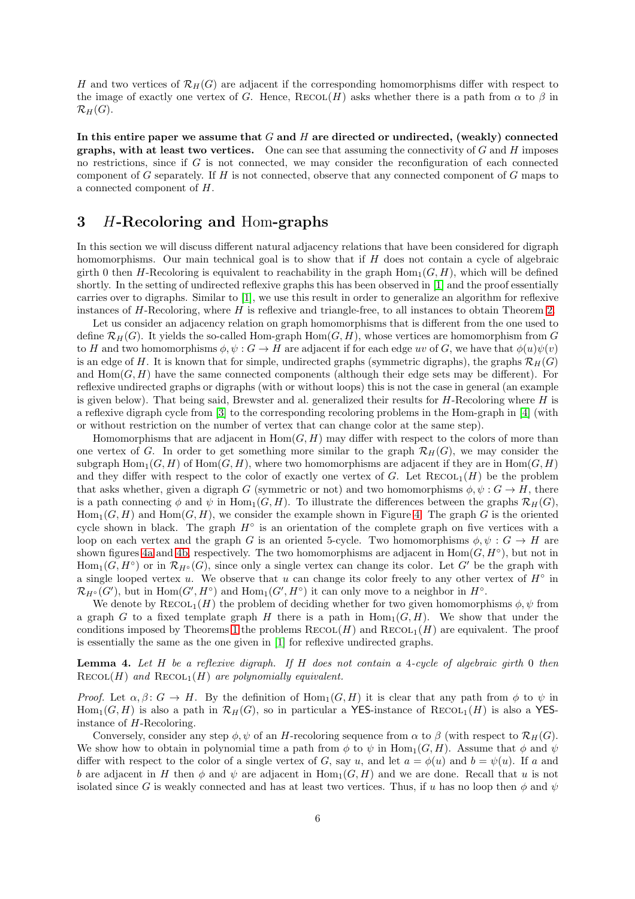H and two vertices of  $\mathcal{R}_H(G)$  are adjacent if the corresponding homomorphisms differ with respect to the image of exactly one vertex of G. Hence,  $\text{RECOL}(H)$  asks whether there is a path from  $\alpha$  to  $\beta$  in  $\mathcal{R}_H(G)$ .

In this entire paper we assume that  $G$  and  $H$  are directed or undirected, (weakly) connected graphs, with at least two vertices. One can see that assuming the connectivity of  $G$  and  $H$  imposes no restrictions, since if  $G$  is not connected, we may consider the reconfiguration of each connected component of G separately. If  $H$  is not connected, observe that any connected component of  $G$  maps to a connected component of H.

# <span id="page-5-0"></span>3 H-Recoloring and Hom-graphs

In this section we will discuss different natural adjacency relations that have been considered for digraph homomorphisms. Our main technical goal is to show that if H does not contain a cycle of algebraic girth 0 then H-Recoloring is equivalent to reachability in the graph  $\text{Hom}_{1}(G, H)$ , which will be defined shortly. In the setting of undirected reflexive graphs this has been observed in [\[1\]](#page-22-0) and the proof essentially carries over to digraphs. Similar to [\[1\]](#page-22-0), we use this result in order to generalize an algorithm for reflexive instances of  $H$ -Recoloring, where  $H$  is reflexive and triangle-free, to all instances to obtain Theorem [2.](#page-1-3)

Let us consider an adjacency relation on graph homomorphisms that is different from the one used to define  $\mathcal{R}_H(G)$ . It yields the so-called Hom-graph  $\text{Hom}(G, H)$ , whose vertices are homomorphism from G to H and two homomorphisms  $\phi, \psi : G \to H$  are adjacent if for each edge uv of G, we have that  $\phi(u)\psi(v)$ is an edge of H. It is known that for simple, undirected graphs (symmetric digraphs), the graphs  $\mathcal{R}_H(G)$ and  $\text{Hom}(G, H)$  have the same connected components (although their edge sets may be different). For reflexive undirected graphs or digraphs (with or without loops) this is not the case in general (an example is given below). That being said, Brewster and al. generalized their results for  $H$ -Recoloring where  $H$  is a reflexive digraph cycle from [\[3\]](#page-22-2) to the corresponding recoloring problems in the Hom-graph in [\[4\]](#page-23-13) (with or without restriction on the number of vertex that can change color at the same step).

Homomorphisms that are adjacent in  $Hom(G, H)$  may differ with respect to the colors of more than one vertex of G. In order to get something more similar to the graph  $\mathcal{R}_H(G)$ , we may consider the subgraph  $\text{Hom}_{1}(G, H)$  of  $\text{Hom}(G, H)$ , where two homomorphisms are adjacent if they are in  $\text{Hom}(G, H)$ and they differ with respect to the color of exactly one vertex of G. Let  $\text{Recol}_1(H)$  be the problem that asks whether, given a digraph G (symmetric or not) and two homomorphisms  $\phi, \psi : G \to H$ , there is a path connecting  $\phi$  and  $\psi$  in Hom<sub>1</sub>(G, H). To illustrate the differences between the graphs  $\mathcal{R}_H(G)$ ,  $Hom_1(G, H)$  and  $Hom(G, H)$ , we consider the example shown in Figure [4.](#page-6-0) The graph G is the oriented cycle shown in black. The graph  $H^{\circ}$  is an orientation of the complete graph on five vertices with a loop on each vertex and the graph G is an oriented 5-cycle. Two homomorphisms  $\phi, \psi : G \to H$  are shown figures [4a](#page-6-0) and [4b,](#page-6-0) respectively. The two homomorphisms are adjacent in  $Hom(G, H^{\circ})$ , but not in  $Hom_1(G, H^{\circ})$  or in  $\mathcal{R}_{H^{\circ}}(G)$ , since only a single vertex can change its color. Let G' be the graph with a single looped vertex u. We observe that u can change its color freely to any other vertex of  $H^{\circ}$  in  $\mathcal{R}_{H^{\circ}}(G')$ , but in  $\text{Hom}(G', H^{\circ})$  and  $\text{Hom}_1(G', H^{\circ})$  it can only move to a neighbor in  $H^{\circ}$ .

We denote by  $\text{RECOL}_1(H)$  the problem of deciding whether for two given homomorphisms  $\phi, \psi$  from a graph G to a fixed template graph H there is a path in  $\text{Hom}_{1}(G, H)$ . We show that under the conditions imposed by Theorems [1](#page-1-2) the problems  $\text{RECOL}(H)$  and  $\text{RECOL}_1(H)$  are equivalent. The proof is essentially the same as the one given in [\[1\]](#page-22-0) for reflexive undirected graphs.

<span id="page-5-1"></span>Lemma 4. *Let* H *be a reflexive digraph. If* H *does not contain a* 4*-cycle of algebraic girth* 0 *then*  $\text{RECOL}(H)$  and  $\text{RECOL}_1(H)$  are polynomially equivalent.

*Proof.* Let  $\alpha, \beta \colon G \to H$ . By the definition of  $\text{Hom}_{1}(G, H)$  it is clear that any path from  $\phi$  to  $\psi$  in  $\text{Hom}_{1}(G, H)$  is also a path in  $\mathcal{R}_{H}(G)$ , so in particular a YES-instance of  $\text{RECOL}_{1}(H)$  is also a YESinstance of H-Recoloring.

Conversely, consider any step  $\phi, \psi$  of an H-recoloring sequence from  $\alpha$  to  $\beta$  (with respect to  $\mathcal{R}_H(G)$ . We show how to obtain in polynomial time a path from  $\phi$  to  $\psi$  in Hom<sub>1</sub>(G, H). Assume that  $\phi$  and  $\psi$ differ with respect to the color of a single vertex of G, say u, and let  $a = \phi(u)$  and  $b = \psi(u)$ . If a and b are adjacent in H then  $\phi$  and  $\psi$  are adjacent in Hom<sub>1</sub>(G, H) and we are done. Recall that u is not isolated since G is weakly connected and has at least two vertices. Thus, if u has no loop then  $\phi$  and  $\psi$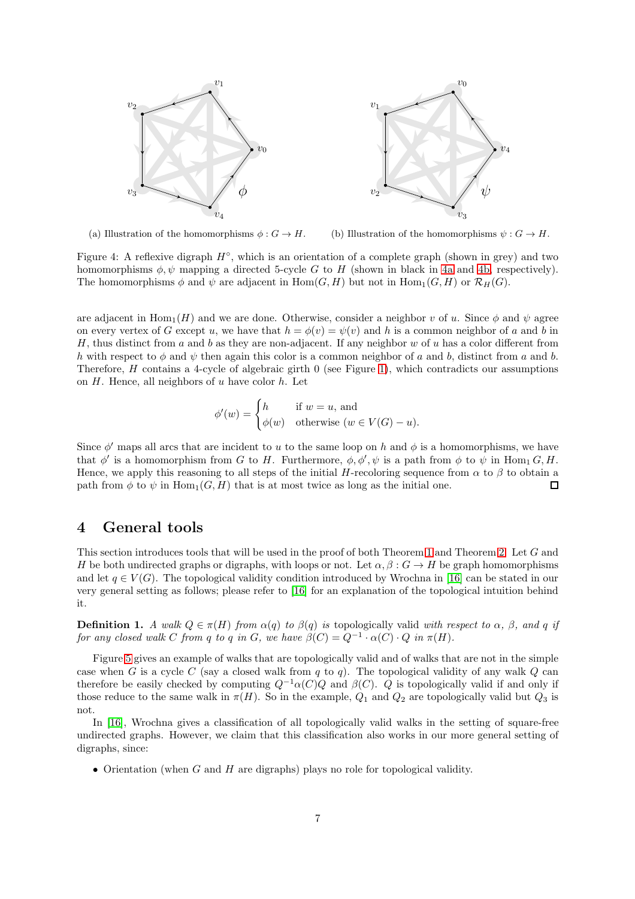<span id="page-6-0"></span>

(a) Illustration of the homomorphisms  $\phi: G \to H$ . (b) Illustration of the homomorphisms  $\psi : G \to H$ .

Figure 4: A reflexive digraph  $H^{\circ}$ , which is an orientation of a complete graph (shown in grey) and two homomorphisms  $\phi, \psi$  mapping a directed 5-cycle G to H (shown in black in [4a](#page-6-0) and [4b,](#page-6-0) respectively). The homomorphisms  $\phi$  and  $\psi$  are adjacent in Hom $(G, H)$  but not in Hom<sub>1</sub> $(G, H)$  or  $\mathcal{R}_H(G)$ .

are adjacent in  $\text{Hom}_{1}(H)$  and we are done. Otherwise, consider a neighbor v of u. Since  $\phi$  and  $\psi$  agree on every vertex of G except u, we have that  $h = \phi(v) = \psi(v)$  and h is a common neighbor of a and b in H, thus distinct from a and b as they are non-adjacent. If any neighbor w of u has a color different from h with respect to  $\phi$  and  $\psi$  then again this color is a common neighbor of a and b, distinct from a and b. Therefore, H contains a 4-cycle of algebraic girth  $0$  (see Figure [1\)](#page-1-0), which contradicts our assumptions on  $H$ . Hence, all neighbors of  $u$  have color  $h$ . Let

$$
\phi'(w) = \begin{cases} h & \text{if } w = u, \text{ and} \\ \phi(w) & \text{otherwise } (w \in V(G) - u). \end{cases}
$$

Since  $\phi'$  maps all arcs that are incident to u to the same loop on h and  $\phi$  is a homomorphisms, we have that  $\phi'$  is a homomorphism from G to H. Furthermore,  $\phi$ ,  $\phi'$ ,  $\psi$  is a path from  $\phi$  to  $\psi$  in Hom<sub>1</sub> G, H. Hence, we apply this reasoning to all steps of the initial H-recoloring sequence from  $\alpha$  to  $\beta$  to obtain a path from  $\phi$  to  $\psi$  in Hom<sub>1</sub>(G, H) that is at most twice as long as the initial one.  $\Box$ 

# 4 General tools

This section introduces tools that will be used in the proof of both Theorem [1](#page-1-2) and Theorem [2.](#page-1-3) Let G and H be both undirected graphs or digraphs, with loops or not. Let  $\alpha, \beta : G \to H$  be graph homomorphisms and let  $q \in V(G)$ . The topological validity condition introduced by Wrochna in [\[16\]](#page-23-8) can be stated in our very general setting as follows; please refer to [\[16\]](#page-23-8) for an explanation of the topological intuition behind it.

**Definition 1.** A walk  $Q \in \pi(H)$  from  $\alpha(q)$  to  $\beta(q)$  is topologically valid with respect to  $\alpha$ ,  $\beta$ , and q if *for any closed walk* C *from* q *to* q *in* G, we have  $\beta(C) = Q^{-1} \cdot \alpha(C) \cdot Q$  *in*  $\pi(H)$ *.* 

Figure [5](#page-7-0) gives an example of walks that are topologically valid and of walks that are not in the simple case when G is a cycle C (say a closed walk from q to q). The topological validity of any walk Q can therefore be easily checked by computing  $Q^{-1}\alpha(C)Q$  and  $\beta(C)$ . Q is topologically valid if and only if those reduce to the same walk in  $\pi(H)$ . So in the example,  $Q_1$  and  $Q_2$  are topologically valid but  $Q_3$  is not.

In [\[16\]](#page-23-8), Wrochna gives a classification of all topologically valid walks in the setting of square-free undirected graphs. However, we claim that this classification also works in our more general setting of digraphs, since:

• Orientation (when  $G$  and  $H$  are digraphs) plays no role for topological validity.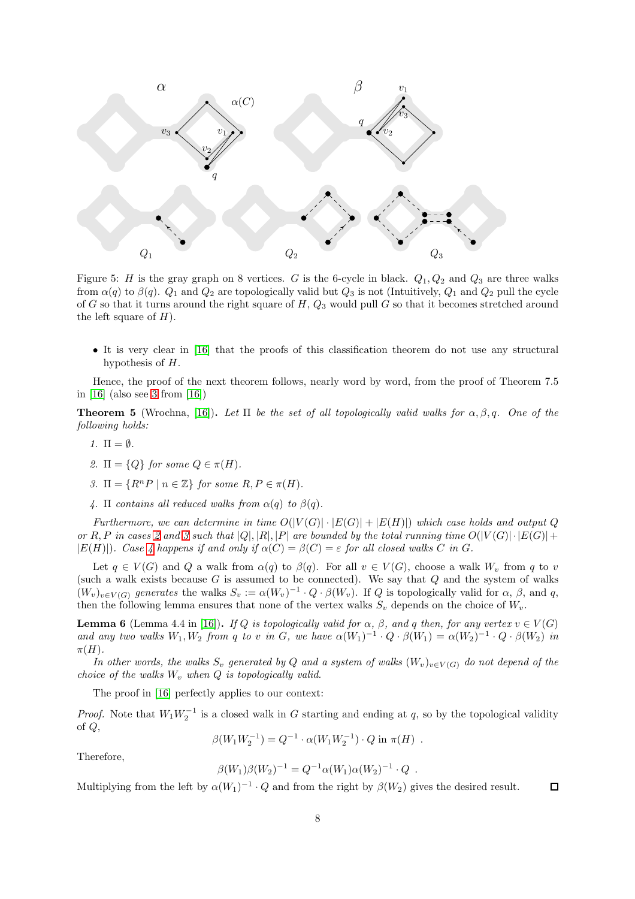<span id="page-7-0"></span>

Figure 5: H is the gray graph on 8 vertices. G is the 6-cycle in black.  $Q_1, Q_2$  and  $Q_3$  are three walks from  $\alpha(q)$  to  $\beta(q)$ .  $Q_1$  and  $Q_2$  are topologically valid but  $Q_3$  is not (Intuitively,  $Q_1$  and  $Q_2$  pull the cycle of G so that it turns around the right square of H,  $Q_3$  would pull G so that it becomes stretched around the left square of  $H$ ).

• It is very clear in [\[16\]](#page-23-8) that the proofs of this classification theorem do not use any structural hypothesis of H.

Hence, the proof of the next theorem follows, nearly word by word, from the proof of Theorem 7.5 in [\[16\]](#page-23-8) (also see [3](#page-2-0) from [\[16\]](#page-23-8))

<span id="page-7-5"></span>**Theorem 5** (Wrochna, [\[16\]](#page-23-8)). Let  $\Pi$  be the set of all topologically valid walks for  $\alpha, \beta, q$ . One of the *following holds:*

- <span id="page-7-1"></span>*1.*  $\Pi = \emptyset$ .
- <span id="page-7-2"></span>*2.*  $\Pi = \{Q\}$  *for some*  $Q \in \pi(H)$ *.*
- <span id="page-7-3"></span>*3.*  $\Pi = \{R^n P \mid n \in \mathbb{Z}\}$  for some  $R, P \in \pi(H)$ .
- 4.  $\Pi$  *contains all reduced walks from*  $\alpha(q)$  *to*  $\beta(q)$ *.*

*Furthermore, we can determine in time*  $O(|V(G)| \cdot |E(G)| + |E(H)|)$  *which case holds and output* Q *or* R, P in cases [2](#page-7-1) and [3](#page-7-2) such that  $|Q|$ ,  $|R|$ ,  $|P|$  are bounded by the total running time  $O(|V(G)| \cdot |E(G)| +$  $|E(H)|$ *). Case [4](#page-7-3) happens if and only if*  $\alpha(C) = \beta(C) = \varepsilon$  *for all closed walks* C *in* G.

Let  $q \in V(G)$  and Q a walk from  $\alpha(q)$  to  $\beta(q)$ . For all  $v \in V(G)$ , choose a walk  $W_v$  from q to v (such a walk exists because  $G$  is assumed to be connected). We say that  $Q$  and the system of walks  $(W_v)_{v \in V(G)}$  generates the walks  $S_v := \alpha(W_v)^{-1} \cdot Q \cdot \beta(W_v)$ . If Q is topologically valid for  $\alpha, \beta$ , and q, then the following lemma ensures that none of the vertex walks  $S_n$  depends on the choice of  $W_n$ .

<span id="page-7-4"></span>**Lemma 6** (Lemma 4.4 in [\[16\]](#page-23-8)). *If* Q *is topologically valid for*  $\alpha$ *,*  $\beta$ *, and* q *then, for any vertex*  $v \in V(G)$ and any two walks  $W_1, W_2$  from q to v in G, we have  $\alpha(W_1)^{-1} \cdot Q \cdot \beta(W_1) = \alpha(W_2)^{-1} \cdot Q \cdot \beta(W_2)$  in  $\pi(H)$ .

*In other words, the walks*  $S_v$  *generated by* Q *and a system of walks*  $(W_v)_{v \in V(G)}$  *do not depend of the choice of the walks*  $W<sub>v</sub>$ *when*  $Q$  *is topologically valid.* 

The proof in [\[16\]](#page-23-8) perfectly applies to our context:

*Proof.* Note that  $W_1 W_2^{-1}$  is a closed walk in G starting and ending at q, so by the topological validity of Q,

$$
\beta(W_1W_2^{-1}) = Q^{-1} \cdot \alpha(W_1W_2^{-1}) \cdot Q \text{ in } \pi(H) .
$$

Therefore,

$$
\beta(W_1)\beta(W_2)^{-1} = Q^{-1}\alpha(W_1)\alpha(W_2)^{-1} \cdot Q .
$$

Multiplying from the left by  $\alpha(W_1)^{-1} \cdot Q$  and from the right by  $\beta(W_2)$  gives the desired result.  $\Box$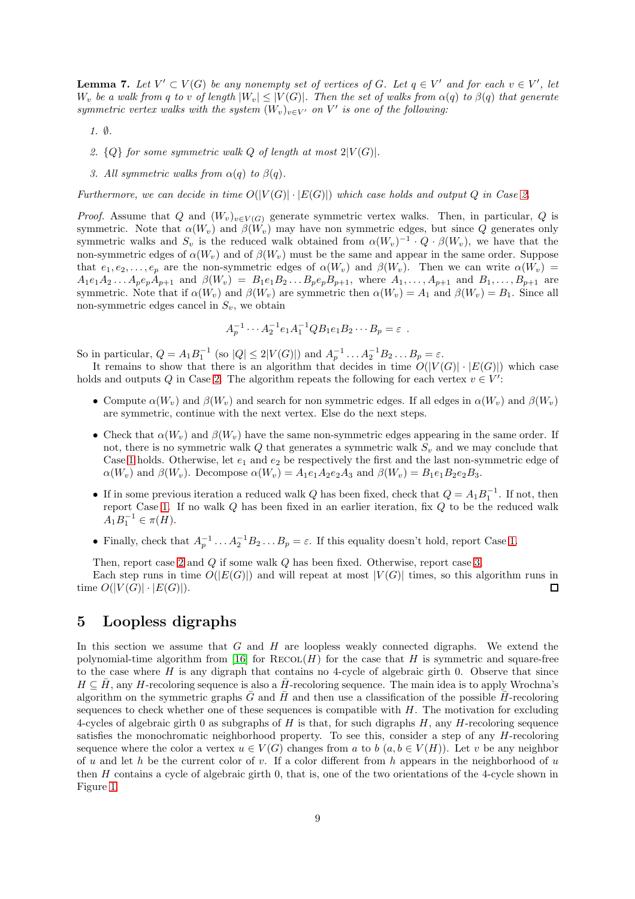<span id="page-8-4"></span>**Lemma 7.** Let  $V' \subset V(G)$  be any nonempty set of vertices of G. Let  $q \in V'$  and for each  $v \in V'$ , let W<sub>v</sub> be a walk from q to v of length  $|W_v| \leq |V(G)|$ . Then the set of walks from  $\alpha(q)$  to  $\beta(q)$  that generate *symmetric vertex walks with the system*  $(W_v)_{v \in V'}$  *on*  $V'$  *is one of the following:* 

- <span id="page-8-2"></span><span id="page-8-1"></span>*1.* ∅*.*
- <span id="page-8-3"></span>2.  ${Q}$  for some symmetric walk  $Q$  of length at most  $2|V(G)|$ .
- *3. All symmetric walks from*  $\alpha(q)$  *to*  $\beta(q)$ *.*

*Furthermore, we can decide in time*  $O(|V(G)| \cdot |E(G)|)$  *which case holds and output* Q *in Case [2.](#page-8-1)* 

*Proof.* Assume that Q and  $(W_v)_{v \in V(G)}$  generate symmetric vertex walks. Then, in particular, Q is symmetric. Note that  $\alpha(W_v)$  and  $\beta(W_v)$  may have non symmetric edges, but since Q generates only symmetric walks and  $S_v$  is the reduced walk obtained from  $\alpha(W_v)^{-1} \cdot Q \cdot \beta(W_v)$ , we have that the non-symmetric edges of  $\alpha(W_v)$  and of  $\beta(W_v)$  must be the same and appear in the same order. Suppose that  $e_1, e_2, \ldots, e_p$  are the non-symmetric edges of  $\alpha(W_v)$  and  $\beta(W_v)$ . Then we can write  $\alpha(W_v)$  $A_1e_1A_2... A_pe_pA_{p+1}$  and  $\beta(W_v) = B_1e_1B_2... B_pe_pB_{p+1}$ , where  $A_1,..., A_{p+1}$  and  $B_1,..., B_{p+1}$  are symmetric. Note that if  $\alpha(W_v)$  and  $\beta(W_v)$  are symmetric then  $\alpha(W_v) = A_1$  and  $\beta(W_v) = B_1$ . Since all non-symmetric edges cancel in  $S_v$ , we obtain

$$
A_p^{-1} \cdots A_2^{-1} e_1 A_1^{-1} Q B_1 e_1 B_2 \cdots B_p = \varepsilon .
$$

So in particular,  $Q = A_1 B_1^{-1}$  (so  $|Q| \le 2|V(G)|$ ) and  $A_p^{-1} \dots A_2^{-1} B_2 \dots B_p = \varepsilon$ .

It remains to show that there is an algorithm that decides in time  $O(|V(G)| \cdot |E(G)|)$  which case holds and outputs Q in Case [2.](#page-8-1) The algorithm repeats the following for each vertex  $v \in V'$ :

- Compute  $\alpha(W_v)$  and  $\beta(W_v)$  and search for non symmetric edges. If all edges in  $\alpha(W_v)$  and  $\beta(W_v)$ are symmetric, continue with the next vertex. Else do the next steps.
- Check that  $\alpha(W_v)$  and  $\beta(W_v)$  have the same non-symmetric edges appearing in the same order. If not, there is no symmetric walk  $Q$  that generates a symmetric walk  $S_n$  and we may conclude that Case [1](#page-8-2) holds. Otherwise, let  $e_1$  and  $e_2$  be respectively the first and the last non-symmetric edge of  $\alpha(W_v)$  and  $\beta(W_v)$ . Decompose  $\alpha(W_v) = A_1e_1A_2e_2A_3$  and  $\beta(W_v) = B_1e_1B_2e_2B_3$ .
- If in some previous iteration a reduced walk Q has been fixed, check that  $Q = A_1 B_1^{-1}$ . If not, then report Case [1.](#page-8-2) If no walk Q has been fixed in an earlier iteration, fix Q to be the reduced walk  $A_1B_1^{-1} \in \pi(H)$ .
- Finally, check that  $A_p^{-1} \dots A_2^{-1} B_2 \dots B_p = \varepsilon$ . If this equality doesn't hold, report Case [1.](#page-8-2)

Then, report case [2](#page-8-1) and Q if some walk Q has been fixed. Otherwise, report case [3.](#page-8-3)

Each step runs in time  $O(|E(G)|)$  and will repeat at most  $|V(G)|$  times, so this algorithm runs in time  $O(|V(G)| \cdot |E(G)|)$ .  $\Box$ 

# <span id="page-8-0"></span>5 Loopless digraphs

In this section we assume that  $G$  and  $H$  are loopless weakly connected digraphs. We extend the polynomial-time algorithm from [\[16\]](#page-23-8) for  $RECOL(H)$  for the case that H is symmetric and square-free to the case where  $H$  is any digraph that contains no 4-cycle of algebraic girth 0. Observe that since  $H \subseteq H$ , any H-recoloring sequence is also a H-recoloring sequence. The main idea is to apply Wrochna's algorithm on the symmetric graphs G and H and then use a classification of the possible H-recoloring sequences to check whether one of these sequences is compatible with  $H$ . The motivation for excluding 4-cycles of algebraic girth 0 as subgraphs of  $H$  is that, for such digraphs  $H$ , any  $H$ -recoloring sequence satisfies the monochromatic neighborhood property. To see this, consider a step of any H-recoloring sequence where the color a vertex  $u \in V(G)$  changes from a to  $b \ (a, b \in V(H))$ . Let v be any neighbor of u and let h be the current color of v. If a color different from h appears in the neighborhood of u then H contains a cycle of algebraic girth 0, that is, one of the two orientations of the 4-cycle shown in Figure [1.](#page-1-0)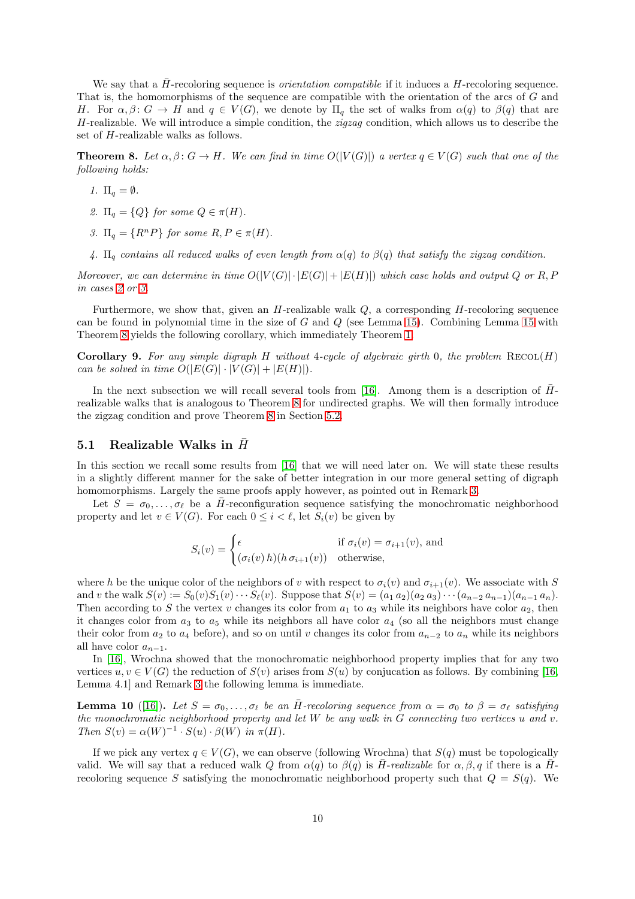We say that a H-recoloring sequence is *orientation compatible* if it induces a H-recoloring sequence. That is, the homomorphisms of the sequence are compatible with the orientation of the arcs of G and H. For  $\alpha, \beta \colon G \to H$  and  $q \in V(G)$ , we denote by  $\Pi_q$  the set of walks from  $\alpha(q)$  to  $\beta(q)$  that are H-realizable. We will introduce a simple condition, the *zigzag* condition, which allows us to describe the set of H-realizable walks as follows.

<span id="page-9-4"></span><span id="page-9-0"></span>**Theorem 8.** Let  $\alpha, \beta \colon G \to H$ . We can find in time  $O(|V(G)|)$  a vertex  $q \in V(G)$  such that one of the *following holds:*

- <span id="page-9-1"></span>*1.*  $\Pi_q = \emptyset$ *.*
- <span id="page-9-2"></span>*2.*  $\Pi_q = \{Q\}$  *for some*  $Q \in \pi(H)$ *.*
- <span id="page-9-5"></span>*3.*  $\Pi_a = \{R^n P\}$  *for some*  $R, P \in \pi(H)$ *.*
- 4.  $\Pi_q$  contains all reduced walks of even length from  $\alpha(q)$  to  $\beta(q)$  that satisfy the zigzag condition.

*Moreover, we can determine in time*  $O(|V(G)| \cdot |E(G)| + |E(H)|)$  *which case holds and output* Q *or* R, P *in cases [2](#page-9-1) or [3.](#page-9-2)*

Furthermore, we show that, given an  $H$ -realizable walk  $Q$ , a corresponding  $H$ -recoloring sequence can be found in polynomial time in the size of G and Q (see Lemma [15\)](#page-11-0). Combining Lemma [15](#page-11-0) with Theorem [8](#page-9-0) yields the following corollary, which immediately Theorem [1.](#page-1-2)

Corollary 9. *For any simple digraph* H *without* 4*-cycle of algebraic girth* 0*, the problem* Recol(H) *can be solved in time*  $O(|E(G)| \cdot |V(G)| + |E(H)|)$ *.* 

In the next subsection we will recall several tools from [\[16\]](#page-23-8). Among them is a description of  $\bar{H}$ realizable walks that is analogous to Theorem [8](#page-9-0) for undirected graphs. We will then formally introduce the zigzag condition and prove Theorem [8](#page-9-0) in Section [5.2.](#page-10-0)

### 5.1 Realizable Walks in  $\bar{H}$

In this section we recall some results from [\[16\]](#page-23-8) that we will need later on. We will state these results in a slightly different manner for the sake of better integration in our more general setting of digraph homomorphisms. Largely the same proofs apply however, as pointed out in Remark [3.](#page-2-0)

Let  $S = \sigma_0, \ldots, \sigma_\ell$  be a H-reconfiguration sequence satisfying the monochromatic neighborhood property and let  $v \in V(G)$ . For each  $0 \leq i \leq \ell$ , let  $S_i(v)$  be given by

$$
S_i(v) = \begin{cases} \epsilon & \text{if } \sigma_i(v) = \sigma_{i+1}(v), \text{ and} \\ (\sigma_i(v) h)(h \sigma_{i+1}(v)) & \text{otherwise,} \end{cases}
$$

where h be the unique color of the neighbors of v with respect to  $\sigma_i(v)$  and  $\sigma_{i+1}(v)$ . We associate with S and v the walk  $S(v) := S_0(v)S_1(v) \cdots S_\ell(v)$ . Suppose that  $S(v) = (a_1 a_2)(a_2 a_3) \cdots (a_{n-2} a_{n-1})(a_{n-1} a_n)$ . Then according to S the vertex v changes its color from  $a_1$  to  $a_3$  while its neighbors have color  $a_2$ , then it changes color from  $a_3$  to  $a_5$  while its neighbors all have color  $a_4$  (so all the neighbors must change their color from  $a_2$  to  $a_4$  before), and so on until v changes its color from  $a_{n-2}$  to  $a_n$  while its neighbors all have color  $a_{n-1}$ .

In [\[16\]](#page-23-8), Wrochna showed that the monochromatic neighborhood property implies that for any two vertices  $u, v \in V(G)$  the reduction of  $S(v)$  arises from  $S(u)$  by conjucation as follows. By combining [\[16,](#page-23-8) Lemma 4.1] and Remark [3](#page-2-0) the following lemma is immediate.

<span id="page-9-3"></span>**Lemma 10** ([\[16\]](#page-23-8)). Let  $S = \sigma_0, \ldots, \sigma_\ell$  be an H-recoloring sequence from  $\alpha = \sigma_0$  to  $\beta = \sigma_\ell$  satisfying *the monochromatic neighborhood property and let* W *be any walk in* G *connecting two vertices* u *and* v*. Then*  $S(v) = \alpha(W)^{-1} \cdot S(u) \cdot \beta(W)$  *in*  $\pi(H)$ *.* 

If we pick any vertex  $q \in V(G)$ , we can observe (following Wrochna) that  $S(q)$  must be topologically valid. We will say that a reduced walk Q from  $\alpha(q)$  to  $\beta(q)$  is  $\overline{H}$ -*realizable* for  $\alpha, \beta, q$  if there is a  $\overline{H}$ recoloring sequence S satisfying the monochromatic neighborhood property such that  $Q = S(q)$ . We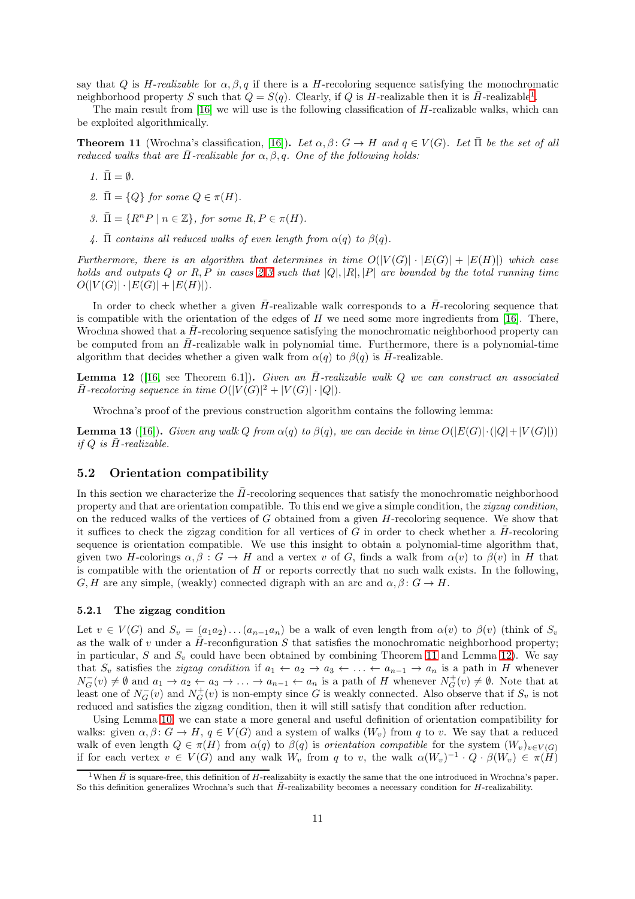say that Q is H-realizable for  $\alpha, \beta, q$  if there is a H-recoloring sequence satisfying the monochromatic neighborhood property S such that  $Q = S(q)$ . Clearly, if Q is H-realizable then it is  $\overline{H}$ -realizable<sup>[1](#page-10-1)</sup>.

The main result from [\[16\]](#page-23-8) we will use is the following classification of H-realizable walks, which can be exploited algorithmically.

<span id="page-10-4"></span>**Theorem 11** (Wrochna's classification, [\[16\]](#page-23-8)). Let  $\alpha, \beta \colon G \to H$  and  $q \in V(G)$ . Let  $\overline{\Pi}$  be the set of all *reduced walks that are*  $\overline{H}$ -*realizable for*  $\alpha, \beta, q$ . One of the following holds:

- <span id="page-10-2"></span>*1.*  $\bar{\Pi} = \emptyset$ .
- <span id="page-10-3"></span>*2.*  $\bar{\Pi} = \{Q\}$  *for some*  $Q \in \pi(H)$ *.*
- *3.*  $\overline{\Pi} = \{R^nP \mid n \in \mathbb{Z}\},\$  for some  $R, P \in \pi(H)$ .
- 4.  $\bar{\Pi}$  *contains all reduced walks of even length from*  $\alpha(q)$  *to*  $\beta(q)$ *.*

*Furthermore, there is an algorithm that determines in time*  $O(|V(G)| \cdot |E(G)| + |E(H)|)$  *which case holds and outputs* Q *or* R, P *in cases [2](#page-10-2) [3](#page-10-3) such that* |Q|, |R|, |P| *are bounded by the total running time*  $O(|V(G)| \cdot |E(G)| + |E(H)|).$ 

In order to check whether a given  $\bar{H}$ -realizable walk corresponds to a  $\bar{H}$ -recoloring sequence that is compatible with the orientation of the edges of  $H$  we need some more ingredients from [\[16\]](#page-23-8). There, Wrochna showed that a  $\bar{H}$ -recoloring sequence satisfying the monochromatic neighborhood property can be computed from an  $\bar{H}$ -realizable walk in polynomial time. Furthermore, there is a polynomial-time algorithm that decides whether a given walk from  $\alpha(q)$  to  $\beta(q)$  is  $\overline{H}$ -realizable.

<span id="page-10-5"></span>**Lemma 12** ([\[16,](#page-23-8) see Theorem 6.1]). *Given an H*-*realizable walk* Q *we can construct an associated*  $\overline{H}$ -recoloring sequence in time  $O(|V(G)|^2 + |V(G)| \cdot |Q|)$ .

Wrochna's proof of the previous construction algorithm contains the following lemma:

<span id="page-10-6"></span>**Lemma 13** ([\[16\]](#page-23-8)). *Given any walk* Q *from*  $\alpha(q)$  *to*  $\beta(q)$ *, we can decide in time*  $O(|E(G)| \cdot (|Q| + |V(G)|))$ *if*  $Q$  *is*  $\bar{H}$ -realizable.

### <span id="page-10-0"></span>5.2 Orientation compatibility

In this section we characterize the  $\bar{H}$ -recoloring sequences that satisfy the monochromatic neighborhood property and that are orientation compatible. To this end we give a simple condition, the *zigzag condition*, on the reduced walks of the vertices of  $G$  obtained from a given  $H$ -recoloring sequence. We show that it suffices to check the zigzag condition for all vertices of G in order to check whether a  $\bar{H}$ -recoloring sequence is orientation compatible. We use this insight to obtain a polynomial-time algorithm that, given two H-colorings  $\alpha, \beta : G \to H$  and a vertex v of G, finds a walk from  $\alpha(v)$  to  $\beta(v)$  in H that is compatible with the orientation of  $H$  or reports correctly that no such walk exists. In the following,  $G, H$  are any simple, (weakly) connected digraph with an arc and  $\alpha, \beta \colon G \to H$ .

#### 5.2.1 The zigzag condition

Let  $v \in V(G)$  and  $S_v = (a_1a_2)...(a_{n-1}a_n)$  be a walk of even length from  $\alpha(v)$  to  $\beta(v)$  (think of  $S_v$ ) as the walk of v under a  $\bar{H}$ -reconfiguration S that satisfies the monochromatic neighborhood property; in particular, S and  $S_v$  could have been obtained by combining Theorem [11](#page-10-4) and Lemma [12\)](#page-10-5). We say that  $S_v$  satisfies the *zigzag condition* if  $a_1 \leftarrow a_2 \rightarrow a_3 \leftarrow \ldots \leftarrow a_{n-1} \rightarrow a_n$  is a path in H whenever  $N_G^-(v) \neq \emptyset$  and  $a_1 \to a_2 \leftarrow a_3 \to \ldots \to a_{n-1} \leftarrow a_n$  is a path of H whenever  $N_G^+(v) \neq \emptyset$ . Note that at least one of  $N_G^-(v)$  and  $N_G^+(v)$  is non-empty since G is weakly connected. Also observe that if  $S_v$  is not reduced and satisfies the zigzag condition, then it will still satisfy that condition after reduction.

Using Lemma [10,](#page-9-3) we can state a more general and useful definition of orientation compatibility for walks: given  $\alpha, \beta \colon G \to H$ ,  $q \in V(G)$  and a system of walks  $(W_v)$  from q to v. We say that a reduced walk of even length  $Q \in \pi(H)$  from  $\alpha(q)$  to  $\beta(q)$  is *orientation compatible* for the system  $(W_v)_{v \in V(G)}$ if for each vertex  $v \in V(G)$  and any walk  $W_v$  from q to v, the walk  $\alpha(W_v)^{-1} \cdot Q \cdot \beta(W_v) \in \pi(H)$ 

<span id="page-10-1"></span><sup>&</sup>lt;sup>1</sup>When  $\bar{H}$  is square-free, this definition of H-realizabiity is exactly the same that the one introduced in Wrochna's paper. So this definition generalizes Wrochna's such that  $\bar{H}$ -realizability becomes a necessary condition for  $H$ -realizability.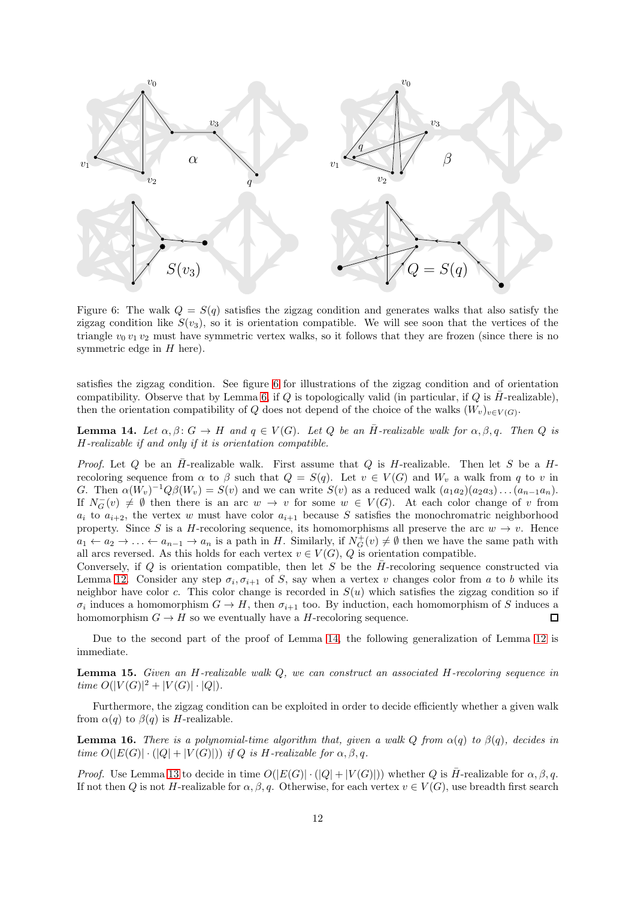<span id="page-11-1"></span>

Figure 6: The walk  $Q = S(q)$  satisfies the zigzag condition and generates walks that also satisfy the zigzag condition like  $S(v_3)$ , so it is orientation compatible. We will see soon that the vertices of the triangle  $v_0 v_1 v_2$  must have symmetric vertex walks, so it follows that they are frozen (since there is no symmetric edge in  $H$  here).

satisfies the zigzag condition. See figure [6](#page-11-1) for illustrations of the zigzag condition and of orientation compatibility. Observe that by Lemma [6,](#page-7-4) if Q is topologically valid (in particular, if Q is  $\bar{H}$ -realizable), then the orientation compatibility of Q does not depend of the choice of the walks  $(W_v)_{v \in V(G)}$ .

<span id="page-11-2"></span>**Lemma 14.** Let  $\alpha, \beta \colon G \to H$  and  $q \in V(G)$ . Let Q be an  $\overline{H}$ -realizable walk for  $\alpha, \beta, q$ . Then Q is H*-realizable if and only if it is orientation compatible.*

*Proof.* Let Q be an  $\bar{H}$ -realizable walk. First assume that Q is H-realizable. Then let S be a Hrecoloring sequence from  $\alpha$  to  $\beta$  such that  $Q = S(q)$ . Let  $v \in V(G)$  and  $W_v$  a walk from q to v in G. Then  $\alpha(W_v)^{-1}Q\beta(W_v) = S(v)$  and we can write  $S(v)$  as a reduced walk  $(a_1a_2)(a_2a_3)\dots(a_{n-1}a_n)$ . If  $N_G^-(v) \neq \emptyset$  then there is an arc  $w \to v$  for some  $w \in V(G)$ . At each color change of v from  $a_i$  to  $a_{i+2}$ , the vertex w must have color  $a_{i+1}$  because S satisfies the monochromatric neighborhood property. Since S is a H-recoloring sequence, its homomorphisms all preserve the arc  $w \to v$ . Hence  $a_1 \leftarrow a_2 \rightarrow \ldots \leftarrow a_{n-1} \rightarrow a_n$  is a path in H. Similarly, if  $N_G^+(v) \neq \emptyset$  then we have the same path with all arcs reversed. As this holds for each vertex  $v \in V(G)$ , Q is orientation compatible.

Conversely, if Q is orientation compatible, then let S be the  $\bar{H}$ -recoloring sequence constructed via Lemma [12.](#page-10-5) Consider any step  $\sigma_i, \sigma_{i+1}$  of S, say when a vertex v changes color from a to b while its neighbor have color c. This color change is recorded in  $S(u)$  which satisfies the zigzag condition so if  $\sigma_i$  induces a homomorphism  $G \to H$ , then  $\sigma_{i+1}$  too. By induction, each homomorphism of S induces a homomorphism  $G \to H$  so we eventually have a H-recoloring sequence.  $\Box$ 

Due to the second part of the proof of Lemma [14,](#page-11-2) the following generalization of Lemma [12](#page-10-5) is immediate.

<span id="page-11-0"></span>Lemma 15. *Given an* H*-realizable walk* Q*, we can construct an associated* H*-recoloring sequence in time*  $O(|V(G)|^2 + |V(G)| \cdot |Q|)$ *.* 

Furthermore, the zigzag condition can be exploited in order to decide efficiently whether a given walk from  $\alpha(q)$  to  $\beta(q)$  is H-realizable.

<span id="page-11-3"></span>**Lemma 16.** *There is a polynomial-time algorithm that, given a walk*  $Q$  *from*  $\alpha(q)$  *to*  $\beta(q)$ *, decides in time*  $O(|E(G)| \cdot (|Q| + |V(G)|))$  *if* Q *is H*-realizable for  $\alpha, \beta, q$ .

*Proof.* Use Lemma [13](#page-10-6) to decide in time  $O(|E(G)| \cdot (|Q| + |V(G)|))$  whether Q is  $\overline{H}$ -realizable for  $\alpha, \beta, q$ . If not then Q is not H-realizable for  $\alpha, \beta, q$ . Otherwise, for each vertex  $v \in V(G)$ , use breadth first search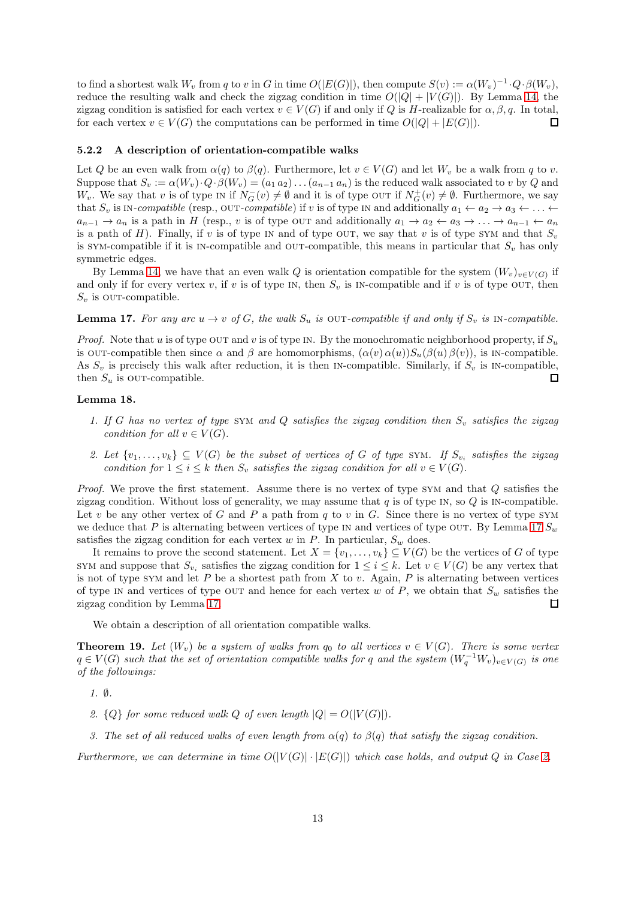to find a shortest walk  $W_v$  from q to v in G in time  $O(|E(G)|)$ , then compute  $S(v) := \alpha(W_v)^{-1} \cdot Q \cdot \beta(W_v)$ , reduce the resulting walk and check the zigzag condition in time  $O(|Q| + |V(G)|)$ . By Lemma [14,](#page-11-2) the zigzag condition is satisfied for each vertex  $v \in V(G)$  if and only if Q is H-realizable for  $\alpha, \beta, q$ . In total, for each vertex  $v \in V(G)$  the computations can be performed in time  $O(|Q| + |E(G)|)$ .  $\Box$ 

#### 5.2.2 A description of orientation-compatible walks

Let Q be an even walk from  $\alpha(q)$  to  $\beta(q)$ . Furthermore, let  $v \in V(G)$  and let  $W_v$  be a walk from q to v. Suppose that  $S_v := \alpha(W_v) \cdot Q \cdot \beta(W_v) = (a_1 \, a_2) \dots (a_{n-1} \, a_n)$  is the reduced walk associated to v by Q and W<sub>v</sub>. We say that v is of type IN if  $N_G^-(v) \neq \emptyset$  and it is of type OUT if  $N_G^+(v) \neq \emptyset$ . Furthermore, we say that  $S_v$  is IN-compatible (resp., OUT-compatible) if v is of type IN and additionally  $a_1 \leftarrow a_2 \rightarrow a_3 \leftarrow \ldots \leftarrow$  $a_{n-1} \to a_n$  is a path in H (resp., v is of type OUT and additionally  $a_1 \to a_2 \leftarrow a_3 \to \ldots \to a_{n-1} \leftarrow a_n$ is a path of H). Finally, if v is of type in and of type out, we say that v is of type SYM and that  $S_v$ is SYM-compatible if it is IN-compatible and OUT-compatible, this means in particular that  $S_v$  has only symmetric edges.

By Lemma [14,](#page-11-2) we have that an even walk Q is orientation compatible for the system  $(W_v)_{v \in V(G)}$  if and only if for every vertex v, if v is of type IN, then  $S_v$  is IN-compatible and if v is of type OUT, then  $S_v$  is our-compatible.

<span id="page-12-0"></span>**Lemma 17.** For any arc  $u \to v$  of G, the walk  $S_u$  is OUT-compatible if and only if  $S_v$  is IN-compatible.

*Proof.* Note that u is of type out and v is of type IN. By the monochromatic neighborhood property, if  $S_u$ is our-compatible then since  $\alpha$  and  $\beta$  are homomorphisms,  $(\alpha(v) \alpha(u))S_u(\beta(u) \beta(v))$ , is in-compatible. As  $S_v$  is precisely this walk after reduction, it is then IN-compatible. Similarly, if  $S_v$  is IN-compatible, then  $S_u$  is our-compatible.  $\Box$ 

#### <span id="page-12-4"></span>Lemma 18.

- *1. If* G has no vertex of type SYM and Q satisfies the zigzag condition then  $S_v$  satisfies the zigzag *condition for all*  $v \in V(G)$ *.*
- <span id="page-12-2"></span>2. Let  $\{v_1, \ldots, v_k\} \subseteq V(G)$  be the subset of vertices of G of type SYM. If  $S_{v_i}$  satisfies the zigzag *condition for*  $1 \leq i \leq k$  *then*  $S_v$  *satisfies the zigzag condition for all*  $v \in V(G)$ *.*

*Proof.* We prove the first statement. Assume there is no vertex of type SYM and that Q satisfies the zigzag condition. Without loss of generality, we may assume that  $q$  is of type IN, so  $Q$  is IN-compatible. Let v be any other vertex of G and P a path from  $q$  to v in G. Since there is no vertex of type SYM we deduce that P is alternating between vertices of type in and vertices of type OUT. By Lemma [17](#page-12-0)  $S_w$ satisfies the zigzag condition for each vertex  $w$  in  $P$ . In particular,  $S_w$  does.

It remains to prove the second statement. Let  $X = \{v_1, \ldots, v_k\} \subseteq V(G)$  be the vertices of G of type SYM and suppose that  $S_{v_i}$  satisfies the zigzag condition for  $1 \leq i \leq k$ . Let  $v \in V(G)$  be any vertex that is not of type SYM and let  $P$  be a shortest path from  $X$  to  $v$ . Again,  $P$  is alternating between vertices of type in and vertices of type out and hence for each vertex w of  $P$ , we obtain that  $S_w$  satisfies the zigzag condition by Lemma [17.](#page-12-0) П

We obtain a description of all orientation compatible walks.

<span id="page-12-6"></span>**Theorem 19.** Let  $(W_v)$  be a system of walks from  $q_0$  to all vertices  $v \in V(G)$ . There is some vertex  $q \in V(G)$  such that the set of orientation compatible walks for q and the system  $(W_q^{-1}W_v)_{v \in V(G)}$  is one *of the followings:*

<span id="page-12-5"></span><span id="page-12-1"></span>*1.* ∅*.*

- <span id="page-12-3"></span>2.  ${Q}$  for some reduced walk Q of even length  $|Q| = O(|V(G)|)$ .
- *3. The set of all reduced walks of even length from* α(q) *to* β(q) *that satisfy the zigzag condition.*

*Furthermore, we can determine in time*  $O(|V(G)| \cdot |E(G)|)$  *which case holds, and output* Q *in Case* [2.](#page-12-1)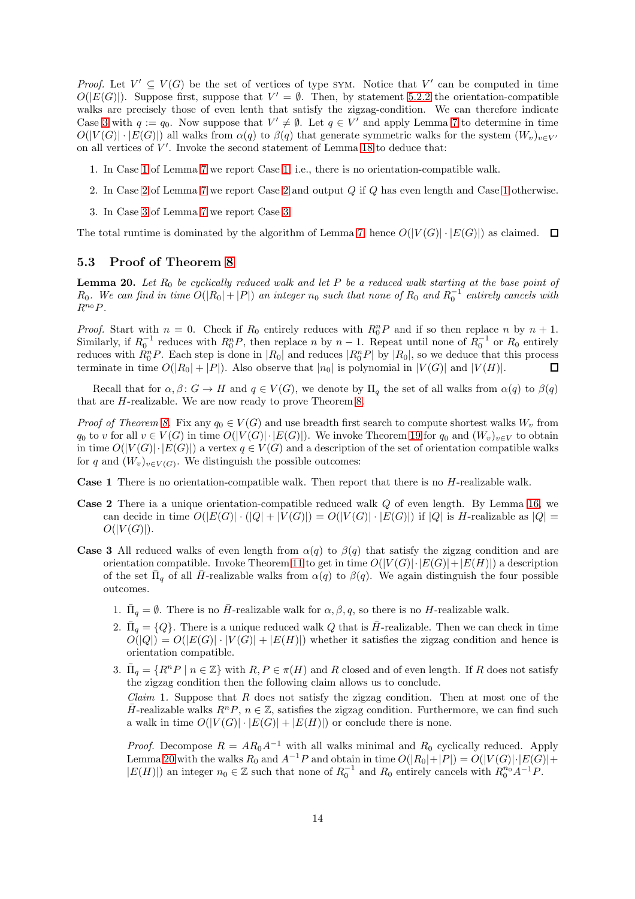*Proof.* Let  $V' \subseteq V(G)$  be the set of vertices of type SYM. Notice that V' can be computed in time  $O(|E(G)|)$ . Suppose first, suppose that  $V' = \emptyset$ . Then, by statement [5.2.2](#page-12-2) the orientation-compatible walks are precisely those of even lenth that satisfy the zigzag-condition. We can therefore indicate Case [3](#page-12-3) with  $q := q_0$ . Now suppose that  $V' \neq \emptyset$ . Let  $q \in V'$  and apply Lemma [7](#page-8-4) to determine in time  $O(|V(G)| \cdot |E(G)|)$  all walks from  $\alpha(q)$  to  $\beta(q)$  that generate symmetric walks for the system  $(W_v)_{v \in V'}$ on all vertices of  $V'$ . Invoke the second statement of Lemma [18](#page-12-4) to deduce that:

- 1. In Case [1](#page-8-2) of Lemma [7](#page-8-4) we report Case [1,](#page-12-5) i.e., there is no orientation-compatible walk.
- 2. In Case [2](#page-8-1) of Lemma [7](#page-8-4) we report Case [2](#page-12-1) and output Q if Q has even length and Case [1](#page-12-5) otherwise.
- 3. In Case [3](#page-8-3) of Lemma [7](#page-8-4) we report Case [3.](#page-12-3)

The total runtime is dominated by the algorithm of Lemma [7,](#page-8-4) hence  $O(|V(G)| \cdot |E(G)|)$  as claimed.  $\square$ 

#### 5.3 Proof of Theorem [8](#page-9-0)

<span id="page-13-0"></span>Lemma 20. Let  $R_0$  be cyclically reduced walk and let P be a reduced walk starting at the base point of  $R_0$ . We can find in time  $O(|R_0|+|P|)$  an integer  $n_0$  such that none of  $R_0$  and  $R_0^{-1}$  entirely cancels with  $R^{n_0}P$ .

*Proof.* Start with  $n = 0$ . Check if  $R_0$  entirely reduces with  $R_0^n P$  and if so then replace n by  $n + 1$ . Similarly, if  $R_0^{-1}$  reduces with  $R_0^n P$ , then replace n by  $n-1$ . Repeat until none of  $R_0^{-1}$  or  $R_0$  entirely reduces with  $R_0^n P$ . Each step is done in  $|R_0|$  and reduces  $|R_0^n P|$  by  $|R_0|$ , so we deduce that this process terminate in time  $O(|R_0| + |P|)$ . Also observe that  $|n_0|$  is polynomial in  $|V(G)|$  and  $|V(H)|$ .

Recall that for  $\alpha, \beta \colon G \to H$  and  $q \in V(G)$ , we denote by  $\Pi_q$  the set of all walks from  $\alpha(q)$  to  $\beta(q)$ that are H-realizable. We are now ready to prove Theorem [8.](#page-9-0)

*Proof of Theorem [8.](#page-9-0)* Fix any  $q_0 \in V(G)$  and use breadth first search to compute shortest walks  $W_v$  from  $q_0$  to v for all  $v \in V(G)$  in time  $O(|V(G)| \cdot |E(G)|)$ . We invoke Theorem [19](#page-12-6) for  $q_0$  and  $(W_v)_{v \in V}$  to obtain in time  $O(|V(G)| \cdot |E(G)|)$  a vertex  $q \in V(G)$  and a description of the set of orientation compatible walks for q and  $(W_v)_{v \in V(G)}$ . We distinguish the possible outcomes:

Case 1 There is no orientation-compatible walk. Then report that there is no H-realizable walk.

- Case 2 There ia a unique orientation-compatible reduced walk Q of even length. By Lemma [16,](#page-11-3) we can decide in time  $O(|E(G)| \cdot (|Q| + |V(G)|) = O(|V(G)| \cdot |E(G)|)$  if  $|Q|$  is H-realizable as  $|Q|$  $O(|V(G)|)$ .
- **Case 3** All reduced walks of even length from  $\alpha(q)$  to  $\beta(q)$  that satisfy the zigzag condition and are orientation compatible. Invoke Theorem [11](#page-10-4) to get in time  $O(|V(G)| \cdot |E(G)| + |E(H)|)$  a description of the set  $\bar{\Pi}_q$  of all  $\bar{H}$ -realizable walks from  $\alpha(q)$  to  $\beta(q)$ . We again distinguish the four possible outcomes.
	- 1.  $\bar{\Pi}_q = \emptyset$ . There is no  $\bar{H}$ -realizable walk for  $\alpha, \beta, q$ , so there is no H-realizable walk.
	- 2.  $\bar{\Pi}_q = \{Q\}$ . There is a unique reduced walk Q that is  $\bar{H}$ -realizable. Then we can check in time  $O(|Q|) = O(|E(G)| \cdot |V(G)| + |E(H)|)$  whether it satisfies the zigzag condition and hence is orientation compatible.
	- 3.  $\bar{\Pi}_q = \{R^n P \mid n \in \mathbb{Z}\}\$  with  $R, P \in \pi(H)$  and R closed and of even length. If R does not satisfy the zigzag condition then the following claim allows us to conclude. *Claim* 1*.* Suppose that R does not satisfy the zigzag condition. Then at most one of the H-realizable walks  $R^n P, n \in \mathbb{Z}$ , satisfies the zigzag condition. Furthermore, we can find such a walk in time  $O(|V(G)| \cdot |E(G)| + |E(H)|)$  or conclude there is none.

*Proof.* Decompose  $R = AR_0A^{-1}$  with all walks minimal and  $R_0$  cyclically reduced. Apply Lemma [20](#page-13-0) with the walks  $R_0$  and  $A^{-1}P$  and obtain in time  $O(|R_0|+|P|) = O(|V(G)|\cdot|E(G)|+$  $|E(H)|$  and  $n_0 \in \mathbb{Z}$  such that none of  $R_0^{-1}$  and  $R_0$  entirely cancels with  $R_0^{n_0}A^{-1}P$ .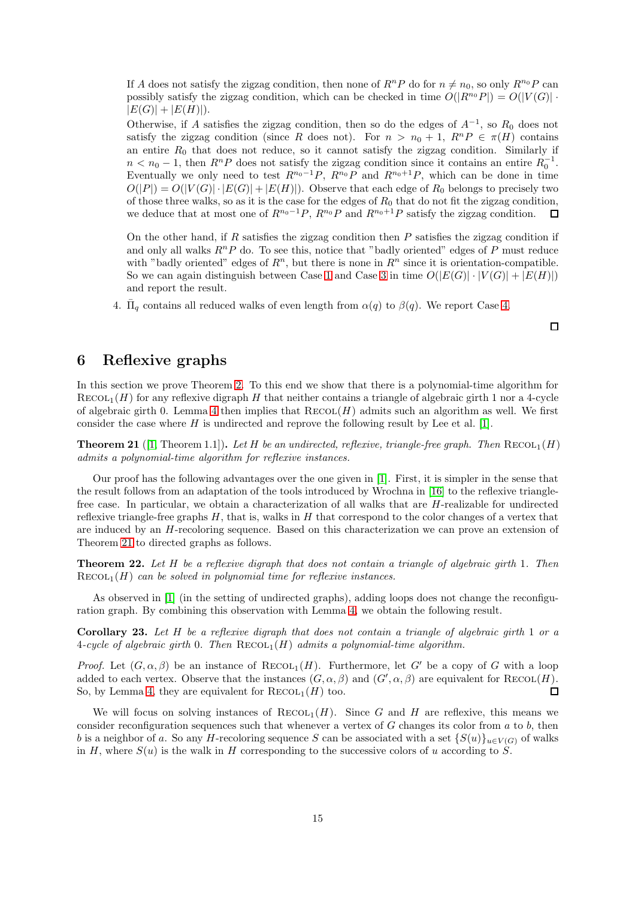If A does not satisfy the zigzag condition, then none of  $R^n P$  do for  $n \neq n_0$ , so only  $R^{n_0} P$  can possibly satisfy the zigzag condition, which can be checked in time  $O(|R^{n_0}P|) = O(|V(G)| \cdot$  $|E(G)| + |E(H)|$ .

Otherwise, if A satisfies the zigzag condition, then so do the edges of  $A^{-1}$ , so  $R_0$  does not satisfy the zigzag condition (since R does not). For  $n > n_0 + 1$ ,  $R^n P \in \pi(H)$  contains an entire  $R_0$  that does not reduce, so it cannot satisfy the zigzag condition. Similarly if  $n < n_0 - 1$ , then  $R^n P$  does not satisfy the zigzag condition since it contains an entire  $R_0^{-1}$ . Eventually we only need to test  $R^{n_0-1}P$ ,  $R^{n_0}P$  and  $R^{n_0+1}P$ , which can be done in time  $O(|P|) = O(|V(G)| \cdot |E(G)| + |E(H)|)$ . Observe that each edge of  $R_0$  belongs to precisely two of those three walks, so as it is the case for the edges of  $R_0$  that do not fit the zigzag condition, we deduce that at most one of  $R^{n_0-1}P$ ,  $R^{n_0}P$  and  $R^{n_0+1}P$  satisfy the zigzag condition.  $\Box$ 

On the other hand, if  $R$  satisfies the zigzag condition then  $P$  satisfies the zigzag condition if and only all walks  $R^n P$  do. To see this, notice that "badly oriented" edges of P must reduce with "badly oriented" edges of  $R<sup>n</sup>$ , but there is none in  $R<sup>n</sup>$  since it is orientation-compatible. So we can again distinguish between Case [1](#page-9-4) and Case [3](#page-9-2) in time  $O(|E(G)| \cdot |V(G)| + |E(H)|)$ and report the result.

4.  $\bar{\Pi}_q$  contains all reduced walks of even length from  $\alpha(q)$  to  $\beta(q)$ . We report Case [4.](#page-9-5)

 $\Box$ 

# <span id="page-14-0"></span>6 Reflexive graphs

In this section we prove Theorem [2.](#page-1-3) To this end we show that there is a polynomial-time algorithm for  $RECOL<sub>1</sub>(H)$  for any reflexive digraph H that neither contains a triangle of algebraic girth 1 nor a 4-cycle of algebraic girth 0. Lemma [4](#page-5-1) then implies that  $\text{RECOL}(H)$  admits such an algorithm as well. We first consider the case where  $H$  is undirected and reprove the following result by Lee et al. [\[1\]](#page-22-0).

<span id="page-14-1"></span>**Theorem 21** ([\[1,](#page-22-0) Theorem 1.1]). Let H be an undirected, reflexive, triangle-free graph. Then  $\text{RECOL}_1(H)$ *admits a polynomial-time algorithm for reflexive instances.*

Our proof has the following advantages over the one given in [\[1\]](#page-22-0). First, it is simpler in the sense that the result follows from an adaptation of the tools introduced by Wrochna in [\[16\]](#page-23-8) to the reflexive trianglefree case. In particular, we obtain a characterization of all walks that are H-realizable for undirected reflexive triangle-free graphs  $H$ , that is, walks in  $H$  that correspond to the color changes of a vertex that are induced by an H-recoloring sequence. Based on this characterization we can prove an extension of Theorem [21](#page-14-1) to directed graphs as follows.

<span id="page-14-2"></span>Theorem 22. *Let* H *be a reflexive digraph that does not contain a triangle of algebraic girth* 1*. Then*  $RECOL<sub>1</sub>(H)$  *can be solved in polynomial time for reflexive instances.* 

As observed in [\[1\]](#page-22-0) (in the setting of undirected graphs), adding loops does not change the reconfiguration graph. By combining this observation with Lemma [4,](#page-5-1) we obtain the following result.

Corollary 23. *Let* H *be a reflexive digraph that does not contain a triangle of algebraic girth* 1 *or a*  $4$ -cycle of algebraic girth 0. Then  $\text{RECOL}_1(H)$  admits a polynomial-time algorithm.

*Proof.* Let  $(G, \alpha, \beta)$  be an instance of  $\text{RECOL}_1(H)$ . Furthermore, let G' be a copy of G with a loop added to each vertex. Observe that the instances  $(G, \alpha, \beta)$  and  $(G', \alpha, \beta)$  are equivalent for  $\text{RECOL}(H)$ . So, by Lemma [4,](#page-5-1) they are equivalent for  $\text{RECOL}_1(H)$  too.  $\Box$ 

We will focus on solving instances of  $RECOL<sub>1</sub>(H)$ . Since G and H are reflexive, this means we consider reconfiguration sequences such that whenever a vertex of  $G$  changes its color from  $a$  to  $b$ , then b is a neighbor of a. So any H-recoloring sequence S can be associated with a set  $\{S(u)\}_{u\in V(G)}$  of walks in H, where  $S(u)$  is the walk in H corresponding to the successive colors of u according to S.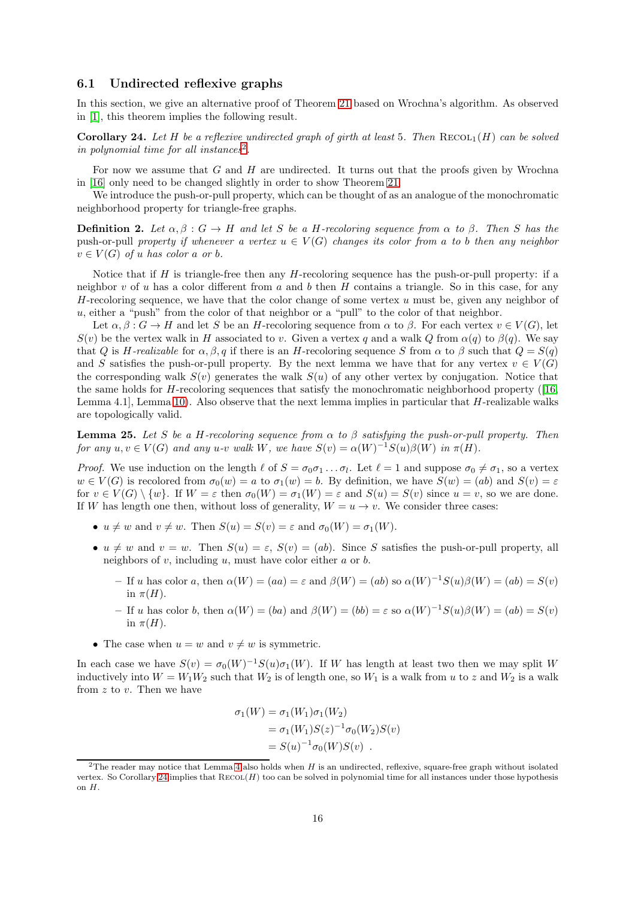### <span id="page-15-0"></span>6.1 Undirected reflexive graphs

In this section, we give an alternative proof of Theorem [21](#page-14-1) based on Wrochna's algorithm. As observed in [\[1\]](#page-22-0), this theorem implies the following result.

<span id="page-15-2"></span>**Corollary 24.** Let H be a reflexive undirected graph of girth at least 5. Then  $\text{RECOL}_1(H)$  can be solved *in polynomial time for all instances*[2](#page-15-1) *.*

For now we assume that  $G$  and  $H$  are undirected. It turns out that the proofs given by Wrochna in [\[16\]](#page-23-8) only need to be changed slightly in order to show Theorem [21.](#page-14-1)

We introduce the push-or-pull property, which can be thought of as an analogue of the monochromatic neighborhood property for triangle-free graphs.

**Definition 2.** Let  $\alpha, \beta : G \to H$  and let S be a H-recoloring sequence from  $\alpha$  to  $\beta$ . Then S has the push-or-pull *property if whenever a vertex*  $u \in V(G)$  *changes its color from a to b then any neighbor*  $v \in V(G)$  *of* u *has color* a *or b*.

Notice that if  $H$  is triangle-free then any  $H$ -recoloring sequence has the push-or-pull property: if a neighbor v of u has a color different from a and b then H contains a triangle. So in this case, for any H-recoloring sequence, we have that the color change of some vertex  $u$  must be, given any neighbor of  $u$ , either a "push" from the color of that neighbor or a "pull" to the color of that neighbor.

Let  $\alpha, \beta : G \to H$  and let S be an H-recoloring sequence from  $\alpha$  to  $\beta$ . For each vertex  $v \in V(G)$ , let  $S(v)$  be the vertex walk in H associated to v. Given a vertex q and a walk Q from  $\alpha(q)$  to  $\beta(q)$ . We say that Q is H-realizable for  $\alpha, \beta, q$  if there is an H-recoloring sequence S from  $\alpha$  to  $\beta$  such that  $Q = S(q)$ and S satisfies the push-or-pull property. By the next lemma we have that for any vertex  $v \in V(G)$ the corresponding walk  $S(v)$  generates the walk  $S(u)$  of any other vertex by conjugation. Notice that the same holds for H-recoloring sequences that satisfy the monochromatic neighborhood property ([\[16,](#page-23-8) Lemma 4.1, Lemma [10\)](#page-9-3). Also observe that the next lemma implies in particular that  $H$ -realizable walks are topologically valid.

<span id="page-15-3"></span>Lemma 25. *Let* S *be a* H*-recoloring sequence from* α *to* β *satisfying the push-or-pull property. Then for any*  $u, v \in V(G)$  *and any*  $u$ -v *walk* W, *we have*  $S(v) = \alpha(W)^{-1}S(u)\beta(W)$  *in*  $\pi(H)$ *.* 

*Proof.* We use induction on the length  $\ell$  of  $S = \sigma_0 \sigma_1 \dots \sigma_l$ . Let  $\ell = 1$  and suppose  $\sigma_0 \neq \sigma_1$ , so a vertex  $w \in V(G)$  is recolored from  $\sigma_0(w) = a$  to  $\sigma_1(w) = b$ . By definition, we have  $S(w) = (ab)$  and  $S(v) = \varepsilon$ for  $v \in V(G) \setminus \{w\}$ . If  $W = \varepsilon$  then  $\sigma_0(W) = \sigma_1(W) = \varepsilon$  and  $S(u) = S(v)$  since  $u = v$ , so we are done. If W has length one then, without loss of generality,  $W = u \rightarrow v$ . We consider three cases:

- $u \neq w$  and  $v \neq w$ . Then  $S(u) = S(v) = \varepsilon$  and  $\sigma_0(W) = \sigma_1(W)$ .
- $u \neq w$  and  $v = w$ . Then  $S(u) = \varepsilon$ ,  $S(v) = (ab)$ . Since S satisfies the push-or-pull property, all neighbors of  $v$ , including  $u$ , must have color either  $a$  or  $b$ .
	- If u has color a, then  $\alpha(W) = (aa) = \varepsilon$  and  $\beta(W) = (ab)$  so  $\alpha(W)^{-1}S(u)\beta(W) = (ab) = S(v)$ in  $\pi(H)$ .
	- If u has color b, then  $\alpha(W) = (ba)$  and  $\beta(W) = (bb) = \varepsilon$  so  $\alpha(W)^{-1}S(u)\beta(W) = (ab) = S(v)$ in  $\pi(H)$ .
- The case when  $u = w$  and  $v \neq w$  is symmetric.

In each case we have  $S(v) = \sigma_0(W)^{-1}S(u)\sigma_1(W)$ . If W has length at least two then we may split W inductively into  $W = W_1 W_2$  such that  $W_2$  is of length one, so  $W_1$  is a walk from u to z and  $W_2$  is a walk from  $z$  to  $v$ . Then we have

$$
\sigma_1(W) = \sigma_1(W_1)\sigma_1(W_2)
$$
  
=  $\sigma_1(W_1)S(z)^{-1}\sigma_0(W_2)S(v)$   
=  $S(u)^{-1}\sigma_0(W)S(v)$ .

<span id="page-15-1"></span><sup>&</sup>lt;sup>2</sup>The reader may notice that Lemma [4](#page-5-1) also holds when H is an undirected, reflexive, square-free graph without isolated vertex. So Corollary [24](#page-15-2) implies that  $RECOL(H)$  too can be solved in polynomial time for all instances under those hypothesis on H.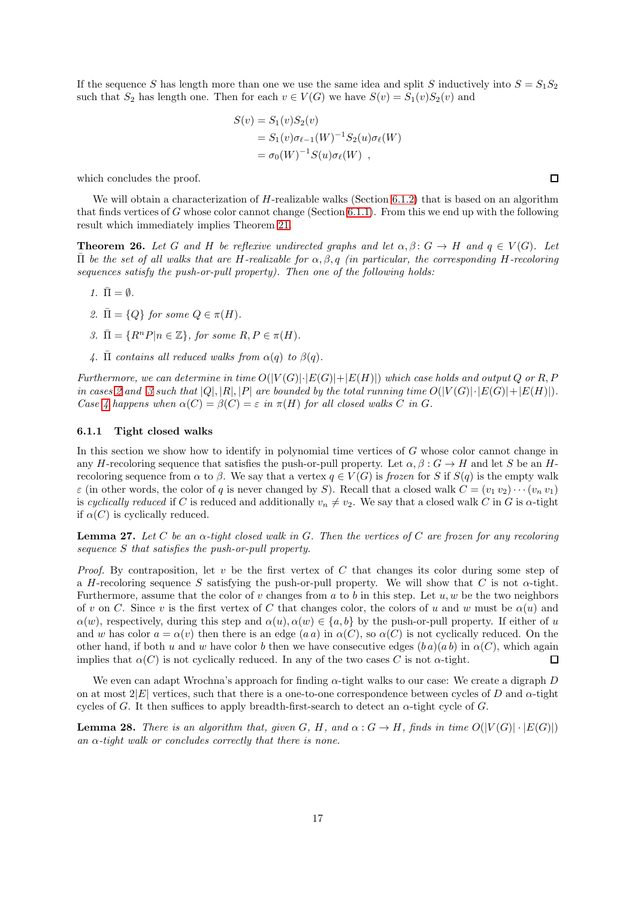If the sequence S has length more than one we use the same idea and split S inductively into  $S = S_1S_2$ such that  $S_2$  has length one. Then for each  $v \in V(G)$  we have  $S(v) = S_1(v)S_2(v)$  and

$$
S(v) = S_1(v)S_2(v)
$$
  
=  $S_1(v)\sigma_{\ell-1}(W)^{-1}S_2(u)\sigma_{\ell}(W)$   
=  $\sigma_0(W)^{-1}S(u)\sigma_{\ell}(W)$ ,

which concludes the proof.

We will obtain a characterization of H-realizable walks (Section [6.1.2\)](#page-17-0) that is based on an algorithm that finds vertices of G whose color cannot change (Section [6.1.1\)](#page-16-1). From this we end up with the following result which immediately implies Theorem [21.](#page-14-1)

<span id="page-16-0"></span>**Theorem 26.** Let G and H be reflexive undirected graphs and let  $\alpha, \beta \colon G \to H$  and  $q \in V(G)$ . Let Π¯ *be the set of all walks that are* H*-realizable for* α, β, q *(in particular, the corresponding* H*-recoloring sequences satisfy the push-or-pull property). Then one of the following holds:*

- <span id="page-16-7"></span><span id="page-16-2"></span>*1.*  $\bar{\Pi} = \emptyset$ *.*
- <span id="page-16-3"></span>*2.*  $\bar{\Pi} = \{Q\}$  *for some*  $Q \in \pi(H)$ *.*
- <span id="page-16-4"></span>*3.*  $\overline{\Pi} = \{R^nP|n \in \mathbb{Z}\},\$  for some  $R, P \in \pi(H)$ .
- 4.  $\bar{\Pi}$  *contains all reduced walks from*  $\alpha(q)$  *to*  $\beta(q)$ *.*

*Furthermore, we can determine in time*  $O(|V(G)| \cdot |E(G)| + |E(H)|)$  *which case holds and output* Q *or* R, P *in cases* [2](#page-16-2) and [3](#page-16-3) such that  $|Q|, |R|, |P|$  are bounded by the total running time  $O(|V(G)| \cdot |E(G)| + |E(H)|)$ . *Case [4](#page-16-4)* happens when  $\alpha(C) = \beta(C) = \varepsilon$  *in*  $\pi(H)$  *for all closed walks* C *in* G.

#### <span id="page-16-1"></span>6.1.1 Tight closed walks

In this section we show how to identify in polynomial time vertices of G whose color cannot change in any H-recoloring sequence that satisfies the push-or-pull property. Let  $\alpha, \beta : G \to H$  and let S be an Hrecoloring sequence from  $\alpha$  to  $\beta$ . We say that a vertex  $q \in V(G)$  is *frozen* for S if S(q) is the empty walk  $\varepsilon$  (in other words, the color of q is never changed by S). Recall that a closed walk  $C = (v_1 v_2) \cdots (v_n v_1)$ is *cyclically reduced* if C is reduced and additionally  $v_n \neq v_2$ . We say that a closed walk C in G is  $\alpha$ -tight if  $\alpha(C)$  is cyclically reduced.

<span id="page-16-5"></span>Lemma 27. *Let* C *be an* α*-tight closed walk in* G*. Then the vertices of* C *are frozen for any recoloring sequence* S *that satisfies the push-or-pull property.*

*Proof.* By contraposition, let v be the first vertex of C that changes its color during some step of a H-recoloring sequence S satisfying the push-or-pull property. We will show that C is not  $\alpha$ -tight. Furthermore, assume that the color of v changes from a to b in this step. Let  $u, w$  be the two neighbors of v on C. Since v is the first vertex of C that changes color, the colors of u and w must be  $\alpha(u)$  and  $\alpha(w)$ , respectively, during this step and  $\alpha(u), \alpha(w) \in \{a, b\}$  by the push-or-pull property. If either of u and w has color  $a = \alpha(v)$  then there is an edge  $(a a)$  in  $\alpha(C)$ , so  $\alpha(C)$  is not cyclically reduced. On the other hand, if both u and w have color b then we have consecutive edges  $(b a)(a b)$  in  $\alpha(C)$ , which again implies that  $\alpha(C)$  is not cyclically reduced. In any of the two cases C is not  $\alpha$ -tight.  $\Box$ 

We even can adapt Wrochna's approach for finding  $\alpha$ -tight walks to our case: We create a digraph D on at most  $2|E|$  vertices, such that there is a one-to-one correspondence between cycles of D and  $\alpha$ -tight cycles of G. It then suffices to apply breadth-first-search to detect an  $\alpha$ -tight cycle of G.

<span id="page-16-6"></span>**Lemma 28.** *There is an algorithm that, given* G, H, and  $\alpha$  :  $G \rightarrow H$ , finds in time  $O(|V(G)| \cdot |E(G)|)$ *an* α*-tight walk or concludes correctly that there is none.*

 $\Box$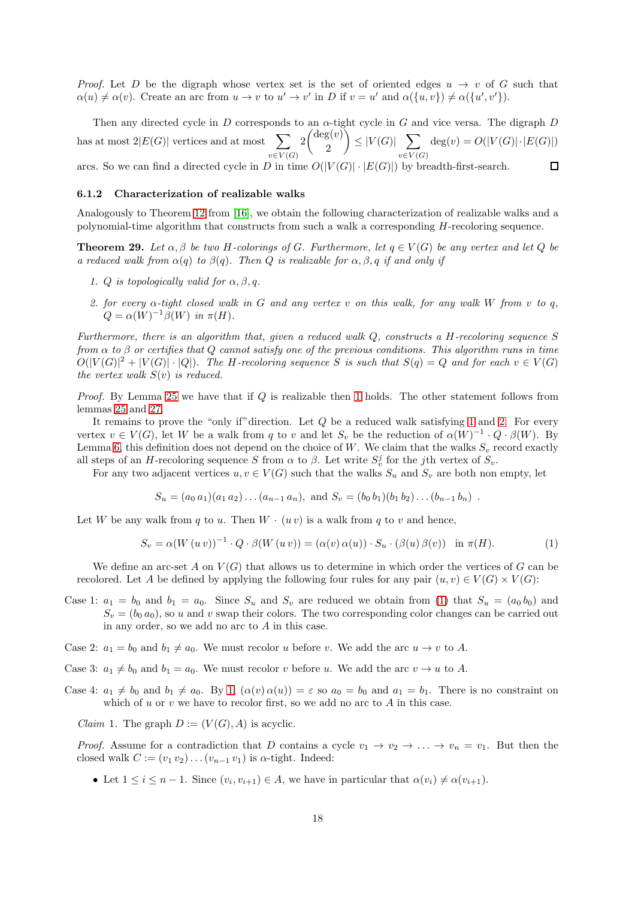*Proof.* Let D be the digraph whose vertex set is the set of oriented edges  $u \rightarrow v$  of G such that  $\alpha(u) \neq \alpha(v)$ . Create an arc from  $u \to v$  to  $u' \to v'$  in D if  $v = u'$  and  $\alpha(\{u, v\}) \neq \alpha(\{u', v'\})$ .

Then any directed cycle in D corresponds to an  $\alpha$ -tight cycle in G and vice versa. The digraph D  $2\binom{\deg(v)}{2}$  $\Big\} \leq |V(G)| \sum$ has at most  $2|E(G)|$  vertices and at most  $\sum$  $deg(v) = O(|V(G)| \cdot |E(G)|)$ 2  $v\in V(G)$  $v\in V(G)$ arcs. So we can find a directed cycle in D in time  $O(|V(G)| \cdot |E(G)|)$  by breadth-first-search.  $\Box$ 

#### <span id="page-17-0"></span>6.1.2 Characterization of realizable walks

Analogously to Theorem [12](#page-10-5) from [\[16\]](#page-23-8), we obtain the following characterization of realizable walks and a polynomial-time algorithm that constructs from such a walk a corresponding H-recoloring sequence.

<span id="page-17-4"></span><span id="page-17-1"></span>**Theorem 29.** Let  $\alpha, \beta$  be two H-colorings of G. Furthermore, let  $q \in V(G)$  be any vertex and let Q be *a reduced walk from*  $\alpha(q)$  *to*  $\beta(q)$ *. Then Q is realizable for*  $\alpha, \beta, q$  *if and only if* 

- <span id="page-17-2"></span>*1. Q is topologically valid for*  $\alpha, \beta, q$ *.*
- *2. for every* α*-tight closed walk in* G *and any vertex* v *on this walk, for any walk* W *from* v *to* q*,*  $Q = \alpha(W)^{-1}\beta(W)$  *in*  $\pi(H)$ *.*

*Furthermore, there is an algorithm that, given a reduced walk* Q*, constructs a* H*-recoloring sequence* S *from* α *to* β *or certifies that* Q *cannot satisfy one of the previous conditions. This algorithm runs in time*  $O(|V(G)|^2 + |V(G)| \cdot |Q|)$ . The H-recoloring sequence S is such that  $S(q) = Q$  and for each  $v \in V(G)$ *the vertex walk* S(v) *is reduced.*

*Proof.* By Lemma [25](#page-15-3) we have that if Q is realizable then [1](#page-17-1) holds. The other statement follows from lemmas [25](#page-15-3) and [27.](#page-16-5)

It remains to prove the "only if" direction. Let  $Q$  be a reduced walk satisfying [1](#page-17-1) and [2.](#page-17-2) For every vertex  $v \in V(G)$ , let W be a walk from q to v and let  $S_v$  be the reduction of  $\alpha(W)^{-1} \cdot Q \cdot \beta(W)$ . By Lemma [6,](#page-7-4) this definition does not depend on the choice of W. We claim that the walks  $S_v$  record exactly all steps of an H-recoloring sequence S from  $\alpha$  to  $\beta$ . Let write  $S_v^j$  for the jth vertex of  $S_v$ .

For any two adjacent vertices  $u, v \in V(G)$  such that the walks  $S_u$  and  $S_v$  are both non empty, let

<span id="page-17-3"></span>
$$
S_u = (a_0 a_1)(a_1 a_2) \dots (a_{n-1} a_n)
$$
, and  $S_v = (b_0 b_1)(b_1 b_2) \dots (b_{n-1} b_n)$ .

Let W be any walk from q to u. Then  $W \cdot (uv)$  is a walk from q to v and hence,

$$
S_v = \alpha(W(uv))^{-1} \cdot Q \cdot \beta(W(uv)) = (\alpha(v)\alpha(u)) \cdot S_u \cdot (\beta(u)\beta(v)) \text{ in } \pi(H).
$$
 (1)

We define an arc-set A on  $V(G)$  that allows us to determine in which order the vertices of G can be recolored. Let A be defined by applying the following four rules for any pair  $(u, v) \in V(G) \times V(G)$ :

- Case 1:  $a_1 = b_0$  and  $b_1 = a_0$ . Since  $S_u$  and  $S_v$  are reduced we obtain from [\(1\)](#page-17-3) that  $S_u = (a_0 b_0)$  and  $S_v = (b_0 a_0)$ , so u and v swap their colors. The two corresponding color changes can be carried out in any order, so we add no arc to A in this case.
- Case 2:  $a_1 = b_0$  and  $b_1 \neq a_0$ . We must recolor u before v. We add the arc  $u \to v$  to A.
- Case 3:  $a_1 \neq b_0$  and  $b_1 = a_0$ . We must recolor v before u. We add the arc  $v \to u$  to A.
- Case 4:  $a_1 \neq b_0$  and  $b_1 \neq a_0$ . By [1,](#page-17-3)  $(\alpha(v) \alpha(u)) = \varepsilon$  so  $a_0 = b_0$  and  $a_1 = b_1$ . There is no constraint on which of  $u$  or  $v$  we have to recolor first, so we add no arc to  $A$  in this case.

*Claim* 1. The graph  $D := (V(G), A)$  is acyclic.

*Proof.* Assume for a contradiction that D contains a cycle  $v_1 \rightarrow v_2 \rightarrow \ldots \rightarrow v_n = v_1$ . But then the closed walk  $C := (v_1 v_2) \dots (v_{n-1} v_1)$  is  $\alpha$ -tight. Indeed:

• Let  $1 \leq i \leq n-1$ . Since  $(v_i, v_{i+1}) \in A$ , we have in particular that  $\alpha(v_i) \neq \alpha(v_{i+1})$ .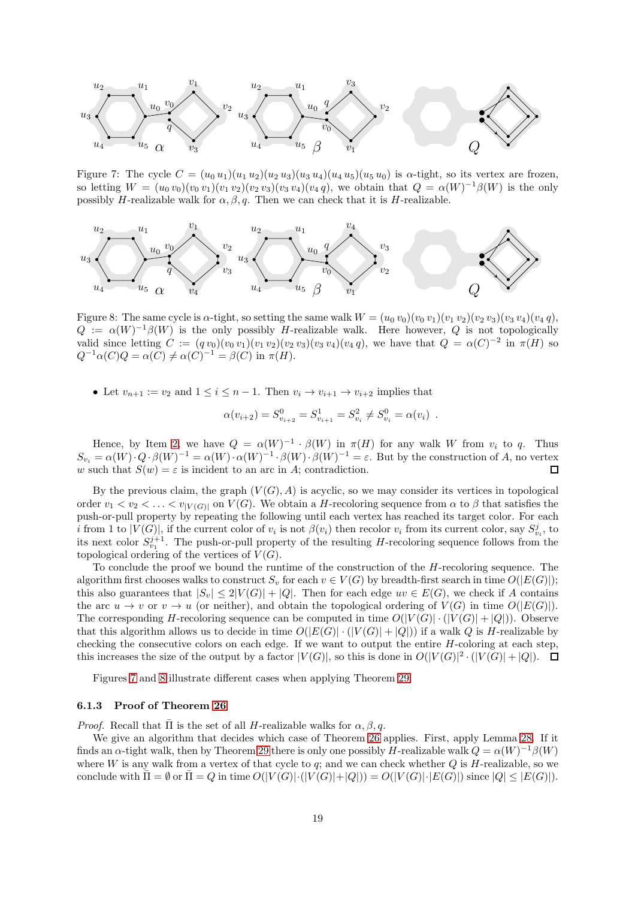<span id="page-18-0"></span>

Figure 7: The cycle  $C = (u_0 u_1)(u_1 u_2)(u_2 u_3)(u_3 u_4)(u_4 u_5)(u_5 u_0)$  is  $\alpha$ -tight, so its vertex are frozen, so letting  $W = (u_0 v_0)(v_0 v_1)(v_1 v_2)(v_2 v_3)(v_3 v_4)(v_4 q)$ , we obtain that  $Q = \alpha(W)^{-1}\beta(W)$  is the only possibly H-realizable walk for  $\alpha$ ,  $\beta$ , q. Then we can check that it is H-realizable.

<span id="page-18-1"></span>

Figure 8: The same cycle is  $\alpha$ -tight, so setting the same walk  $W = (u_0, v_0)(v_0, v_1)(v_1, v_2)(v_2, v_3)(v_3, v_4)(v_4, q)$ ,  $Q := \alpha(W)^{-1}\beta(W)$  is the only possibly H-realizable walk. Here however, Q is not topologically valid since letting  $C := (qv_0)(v_0 v_1)(v_1 v_2)(v_2 v_3)(v_3 v_4)(v_4 q)$ , we have that  $Q = \alpha(C)^{-2}$  in  $\pi(H)$  so  $Q^{-1}\alpha(C)Q = \alpha(C) \neq \alpha(C)^{-1} = \beta(C)$  in  $\pi(H)$ .

• Let  $v_{n+1} := v_2$  and  $1 \leq i \leq n-1$ . Then  $v_i \to v_{i+1} \to v_{i+2}$  implies that

$$
\alpha(v_{i+2}) = S_{v_{i+2}}^0 = S_{v_{i+1}}^1 = S_{v_i}^2 \neq S_{v_i}^0 = \alpha(v_i) .
$$

Hence, by Item [2,](#page-17-2) we have  $Q = \alpha(W)^{-1} \cdot \beta(W)$  in  $\pi(H)$  for any walk W from  $v_i$  to q. Thus  $S_{v_i} = \alpha(W) \cdot Q \cdot \beta(W)^{-1} = \alpha(W) \cdot \alpha(W)^{-1} \cdot \beta(W) \cdot \beta(W)^{-1} = \varepsilon$ . But by the construction of A, no vertex w such that  $S(w) = \varepsilon$  is incident to an arc in A; contradiction.  $\Box$ 

By the previous claim, the graph  $(V(G), A)$  is acyclic, so we may consider its vertices in topological order  $v_1 < v_2 < \ldots < v_{|V(G)|}$  on  $V(G)$ . We obtain a H-recoloring sequence from  $\alpha$  to  $\beta$  that satisfies the push-or-pull property by repeating the following until each vertex has reached its target color. For each *i* from 1 to  $|V(G)|$ , if the current color of  $v_i$  is not  $\beta(v_i)$  then recolor  $v_i$  from its current color, say  $S_{v_i}^j$ , to its next color  $S_{v_1}^{j+1}$ . The push-or-pull property of the resulting H-recoloring sequence follows from the topological ordering of the vertices of  $V(G)$ .

To conclude the proof we bound the runtime of the construction of the H-recoloring sequence. The algorithm first chooses walks to construct  $S_v$  for each  $v \in V(G)$  by breadth-first search in time  $O(|E(G)|)$ ; this also guarantees that  $|S_v| \leq 2|V(G)| + |Q|$ . Then for each edge  $uv \in E(G)$ , we check if A contains the arc  $u \to v$  or  $v \to u$  (or neither), and obtain the topological ordering of  $V(G)$  in time  $O(|E(G)|)$ . The corresponding H-recoloring sequence can be computed in time  $O(|V(G)| \cdot (|V(G)| + |Q|))$ . Observe that this algorithm allows us to decide in time  $O(|E(G)| \cdot (|V(G)| + |Q|))$  if a walk Q is H-realizable by checking the consecutive colors on each edge. If we want to output the entire  $H$ -coloring at each step, this increases the size of the output by a factor  $|V(G)|$ , so this is done in  $O(|V(G)|^2 \cdot (|V(G)| + |Q|)$ .

Figures [7](#page-18-0) and [8](#page-18-1) illustrate different cases when applying Theorem [29.](#page-17-4)

#### 6.1.3 Proof of Theorem [26](#page-16-0)

*Proof.* Recall that  $\overline{\Pi}$  is the set of all *H*-realizable walks for  $\alpha$ ,  $\beta$ , q.

We give an algorithm that decides which case of Theorem [26](#page-16-0) applies. First, apply Lemma [28.](#page-16-6) If it finds an  $\alpha$ -tight walk, then by Theorem [29](#page-17-4) there is only one possibly H-realizable walk  $Q = \alpha(W)^{-1}\beta(W)$ where W is any walk from a vertex of that cycle to  $q$ ; and we can check whether  $Q$  is H-realizable, so we conclude with  $\overline{\Pi} = \emptyset$  or  $\overline{\Pi} = Q$  in time  $O(|V(G)| \cdot |V(G)| + |Q|) = O(|V(G)| \cdot |E(G)|)$  since  $|Q| \leq |E(G)|$ .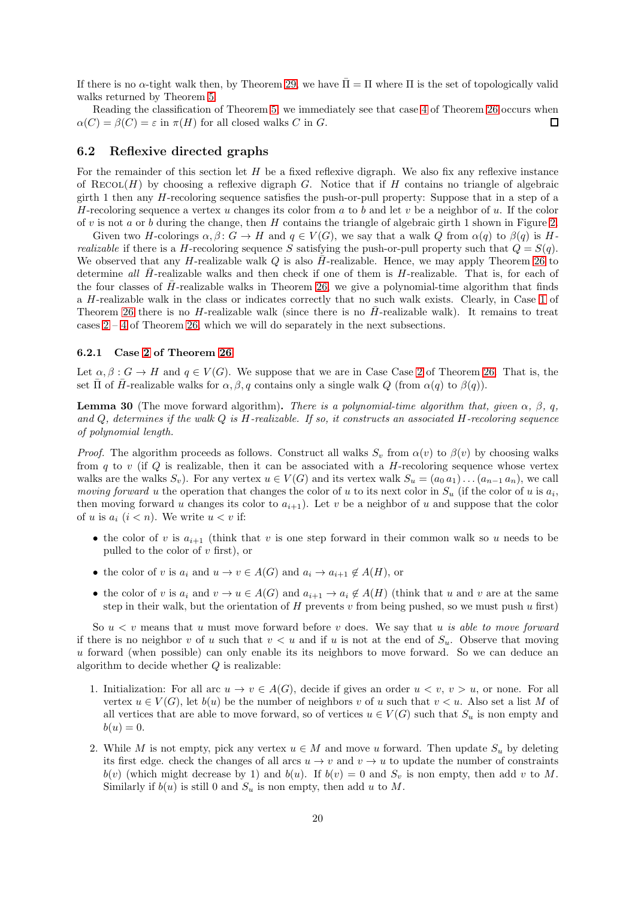If there is no  $\alpha$ -tight walk then, by Theorem [29,](#page-17-4) we have  $\bar{\Pi} = \Pi$  where  $\Pi$  is the set of topologically valid walks returned by Theorem [5.](#page-7-5)

Reading the classification of Theorem [5,](#page-7-5) we immediately see that case [4](#page-16-4) of Theorem [26](#page-16-0) occurs when  $\alpha(C) = \beta(C) = \varepsilon$  in  $\pi(H)$  for all closed walks C in G.  $\Box$ 

### <span id="page-19-0"></span>6.2 Reflexive directed graphs

For the remainder of this section let  $H$  be a fixed reflexive digraph. We also fix any reflexive instance of RECOL(H) by choosing a reflexive digraph G. Notice that if H contains no triangle of algebraic girth 1 then any H-recoloring sequence satisfies the push-or-pull property: Suppose that in a step of a H-recoloring sequence a vertex u changes its color from a to b and let v be a neighbor of u. If the color of v is not a or b during the change, then H contains the triangle of algebraic girth 1 shown in Figure [2.](#page-1-1)

Given two H-colorings  $\alpha, \beta \colon G \to H$  and  $q \in V(G)$ , we say that a walk Q from  $\alpha(q)$  to  $\beta(q)$  is H*realizable* if there is a H-recoloring sequence S satisfying the push-or-pull property such that  $Q = S(q)$ . We observed that any H-realizable walk Q is also  $\bar{H}$ -realizable. Hence, we may apply Theorem [26](#page-16-0) to determine *all* H-realizable walks and then check if one of them is H-realizable. That is, for each of the four classes of  $H$ -realizable walks in Theorem [26,](#page-16-0) we give a polynomial-time algorithm that finds a H-realizable walk in the class or indicates correctly that no such walk exists. Clearly, in Case [1](#page-16-7) of Theorem [26](#page-16-0) there is no H-realizable walk (since there is no  $\bar{H}$ -realizable walk). It remains to treat cases [2](#page-16-2) – [4](#page-16-4) of Theorem [26,](#page-16-0) which we will do separately in the next subsections.

#### 6.2.1 Case [2](#page-16-2) of Theorem [26](#page-16-0)

Let  $\alpha, \beta : G \to H$  and  $q \in V(G)$ . We suppose that we are in Case Case [2](#page-16-2) of Theorem [26.](#page-16-0) That is, the set  $\bar{\Pi}$  of  $\bar{H}$ -realizable walks for  $\alpha, \beta, q$  contains only a single walk Q (from  $\alpha(q)$  to  $\beta(q)$ ).

<span id="page-19-3"></span>**Lemma 30** (The move forward algorithm). *There is a polynomial-time algorithm that, given*  $\alpha$ ,  $\beta$ ,  $q$ , *and* Q*, determines if the walk* Q *is* H*-realizable. If so, it constructs an associated* H*-recoloring sequence of polynomial length.*

*Proof.* The algorithm proceeds as follows. Construct all walks  $S_v$  from  $\alpha(v)$  to  $\beta(v)$  by choosing walks from  $q$  to  $v$  (if  $Q$  is realizable, then it can be associated with a H-recoloring sequence whose vertex walks are the walks  $S_v$ ). For any vertex  $u \in V(G)$  and its vertex walk  $S_u = (a_0 a_1) \dots (a_{n-1} a_n)$ , we call *moving forward* u the operation that changes the color of u to its next color in  $S_u$  (if the color of u is  $a_i$ , then moving forward u changes its color to  $a_{i+1}$ ). Let v be a neighbor of u and suppose that the color of u is  $a_i$   $(i < n)$ . We write  $u < v$  if:

- the color of v is  $a_{i+1}$  (think that v is one step forward in their common walk so u needs to be pulled to the color of  $v$  first), or
- the color of v is  $a_i$  and  $u \to v \in A(G)$  and  $a_i \to a_{i+1} \notin A(H)$ , or
- the color of v is  $a_i$  and  $v \to u \in A(G)$  and  $a_{i+1} \to a_i \notin A(H)$  (think that u and v are at the same step in their walk, but the orientation of  $H$  prevents  $v$  from being pushed, so we must push  $u$  first)

So  $u < v$  means that u must move forward before v does. We say that u *is able to move forward* if there is no neighbor v of u such that  $v < u$  and if u is not at the end of  $S_u$ . Observe that moving u forward (when possible) can only enable its its neighbors to move forward. So we can deduce an algorithm to decide whether  $Q$  is realizable:

- <span id="page-19-1"></span>1. Initialization: For all arc  $u \to v \in A(G)$ , decide if gives an order  $u < v$ ,  $v > u$ , or none. For all vertex  $u \in V(G)$ , let  $b(u)$  be the number of neighbors v of u such that  $v < u$ . Also set a list M of all vertices that are able to move forward, so of vertices  $u \in V(G)$  such that  $S_u$  is non empty and  $b(u) = 0.$
- <span id="page-19-2"></span>2. While M is not empty, pick any vertex  $u \in M$  and move u forward. Then update  $S_u$  by deleting its first edge. check the changes of all arcs  $u \to v$  and  $v \to u$  to update the number of constraints  $b(v)$  (which might decrease by 1) and  $b(u)$ . If  $b(v) = 0$  and  $S_v$  is non empty, then add v to M. Similarly if  $b(u)$  is still 0 and  $S_u$  is non empty, then add u to M.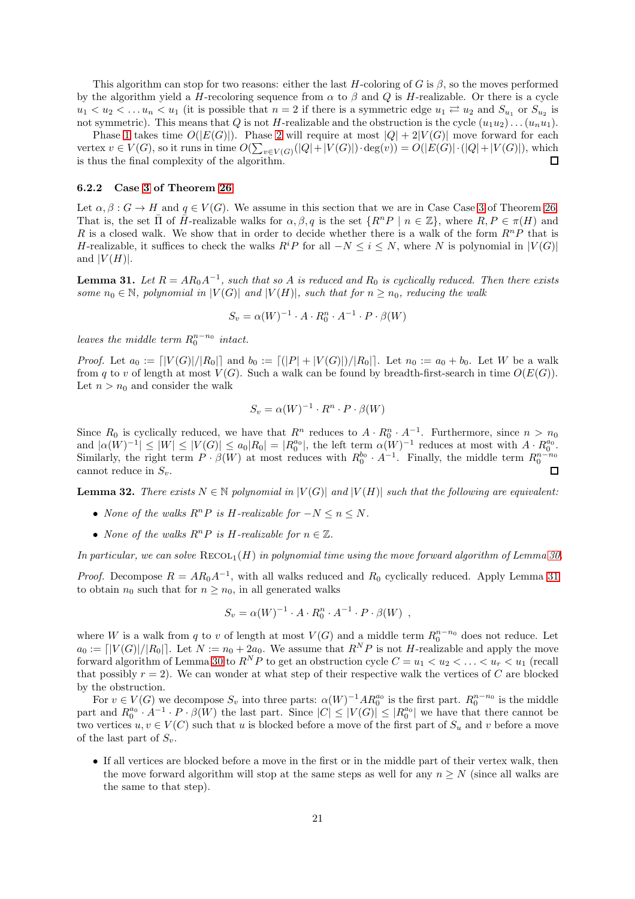This algorithm can stop for two reasons: either the last H-coloring of G is  $\beta$ , so the moves performed by the algorithm yield a H-recoloring sequence from  $\alpha$  to  $\beta$  and  $Q$  is H-realizable. Or there is a cycle  $u_1 < u_2 < \ldots u_n < u_1$  (it is possible that  $n = 2$  if there is a symmetric edge  $u_1 \rightleftarrows u_2$  and  $S_{u_1}$  or  $S_{u_2}$  is not symmetric). This means that Q is not H-realizable and the obstruction is the cycle  $(u_1u_2)...(u_nu_1)$ .

Phase [1](#page-19-1) takes time  $O(|E(G)|)$ . Phase [2](#page-19-2) will require at most  $|Q| + 2|V(G)|$  move forward for each vertex  $v \in V(G)$ , so it runs in time  $O(\sum_{v \in V(G)}(|Q| + |V(G)|) \cdot deg(v)) = O(|E(G)| \cdot (|Q| + |V(G)|)$ , which is thus the final complexity of the algorithm.  $\Box$ 

#### 6.2.2 Case [3](#page-16-3) of Theorem [26](#page-16-0)

Let  $\alpha, \beta : G \to H$  and  $q \in V(G)$ . We assume in this section that we are in Case Case [3](#page-16-3) of Theorem [26.](#page-16-0) That is, the set  $\overline{\Pi}$  of  $\overline{H}$ -realizable walks for  $\alpha, \beta, q$  is the set  $\{R^nP \mid n \in \mathbb{Z}\}$ , where  $R, P \in \pi(H)$  and R is a closed walk. We show that in order to decide whether there is a walk of the form  $R^n P$  that is H-realizable, it suffices to check the walks  $R^iP$  for all  $-N \leq i \leq N$ , where N is polynomial in  $|V(G)|$ and  $|V(H)|$ .

<span id="page-20-0"></span>**Lemma 31.** Let  $R = AR_0A^{-1}$ , such that so A is reduced and  $R_0$  is cyclically reduced. Then there exists *some*  $n_0 \in \mathbb{N}$ *, polynomial in*  $|V(G)|$  *and*  $|V(H)|$ *, such that for*  $n \geq n_0$ *, reducing the walk* 

$$
S_v = \alpha(W)^{-1} \cdot A \cdot R_0^n \cdot A^{-1} \cdot P \cdot \beta(W)
$$

*leaves the middle term*  $R_0^{n-n_0}$  *intact.* 

*Proof.* Let  $a_0 := |V(G)|/|R_0|$  and  $b_0 := |(|P| + |V(G)|)/|R_0|$ . Let  $n_0 := a_0 + b_0$ . Let W be a walk from q to v of length at most  $V(G)$ . Such a walk can be found by breadth-first-search in time  $O(E(G))$ . Let  $n > n_0$  and consider the walk

$$
S_v = \alpha(W)^{-1} \cdot R^n \cdot P \cdot \beta(W)
$$

Since  $R_0$  is cyclically reduced, we have that  $R^n$  reduces to  $A \cdot R_0^n \cdot A^{-1}$ . Furthermore, since  $n > n_0$ and  $|\alpha(W)^{-1}| \leq |W| \leq |V(G)| \leq a_0 |R_0| = |R_0^{a_0}|$ , the left term  $\alpha(W)^{-1}$  reduces at most with  $A \cdot R_0^{a_0}$ . Similarly, the right term  $P \cdot \beta(W)$  at most reduces with  $R_0^{b_0} \cdot A^{-1}$ . Finally, the middle term  $R_0^{n-n_0}$ cannot reduce in  $S_v$ .

<span id="page-20-1"></span>**Lemma 32.** *There exists*  $N \in \mathbb{N}$  *polynomial in*  $|V(G)|$  *and*  $|V(H)|$  *such that the following are equivalent:* 

- *None of the walks*  $R^n P$  *is H-realizable for*  $-N \leq n \leq N$ .
- *None of the walks*  $R^n P$  *is H*-realizable for  $n \in \mathbb{Z}$ .

In particular, we can solve  $\text{RECOL}_1(H)$  in polynomial time using the move forward algorithm of Lemma [30.](#page-19-3)

*Proof.* Decompose  $R = AR_0A^{-1}$ , with all walks reduced and  $R_0$  cyclically reduced. Apply Lemma [31](#page-20-0) to obtain  $n_0$  such that for  $n \geq n_0$ , in all generated walks

$$
S_v = \alpha(W)^{-1} \cdot A \cdot R_0^n \cdot A^{-1} \cdot P \cdot \beta(W) ,
$$

where W is a walk from q to v of length at most  $V(G)$  and a middle term  $R_0^{n-n_0}$  does not reduce. Let  $a_0 := [V(G)|/|R_0|]$ . Let  $N := n_0 + 2a_0$ . We assume that  $R^N P$  is not H-realizable and apply the move forward algorithm of Lemma [30](#page-19-3) to  $R^N P$  to get an obstruction cycle  $C = u_1 < u_2 < \ldots < u_r < u_1$  (recall that possibly  $r = 2$ ). We can wonder at what step of their respective walk the vertices of C are blocked by the obstruction.

For  $v \in V(G)$  we decompose  $S_v$  into three parts:  $\alpha(W)^{-1}AR_0^{a_0}$  is the first part.  $R_0^{n-n_0}$  is the middle part and  $R_0^{a_0} \cdot A^{-1} \cdot P \cdot \beta(W)$  the last part. Since  $|C| \leq |V(G)| \leq |R_0^{a_0}|$  we have that there cannot be two vertices  $u, v \in V(C)$  such that u is blocked before a move of the first part of  $S_u$  and v before a move of the last part of  $S_v$ .

• If all vertices are blocked before a move in the first or in the middle part of their vertex walk, then the move forward algorithm will stop at the same steps as well for any  $n \geq N$  (since all walks are the same to that step).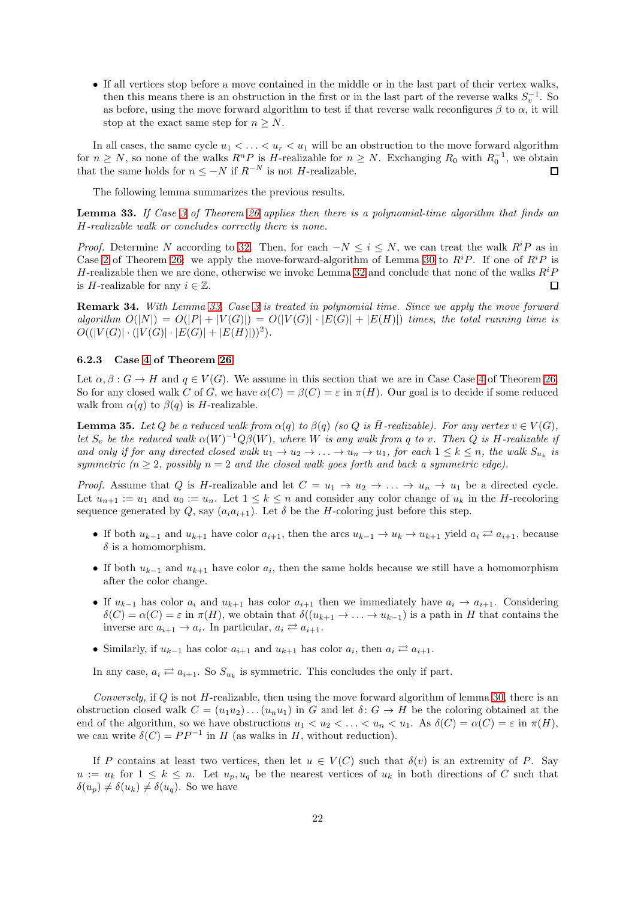• If all vertices stop before a move contained in the middle or in the last part of their vertex walks, then this means there is an obstruction in the first or in the last part of the reverse walks  $S_v^{-1}$ . So as before, using the move forward algorithm to test if that reverse walk reconfigures  $\beta$  to  $\alpha$ , it will stop at the exact same step for  $n > N$ .

In all cases, the same cycle  $u_1 < \ldots < u_r < u_1$  will be an obstruction to the move forward algorithm for  $n \geq N$ , so none of the walks  $R^n P$  is H-realizable for  $n \geq N$ . Exchanging  $R_0$  with  $R_0^{-1}$ , we obtain that the same holds for  $n\leq -N$  if  $R^{-N}$  is not  $H\text{-realizable}.$  $\Box$ 

The following lemma summarizes the previous results.

<span id="page-21-0"></span>Lemma 33. *If Case [3](#page-16-3) of Theorem [26](#page-16-0) applies then there is a polynomial-time algorithm that finds an* H*-realizable walk or concludes correctly there is none.*

*Proof.* Determine N according to [32.](#page-20-1) Then, for each  $-N \leq i \leq N$ , we can treat the walk  $R^i P$  as in Case [2](#page-16-2) of Theorem [26:](#page-16-0) we apply the move-forward-algorithm of Lemma [30](#page-19-3) to  $R^iP$ . If one of  $R^iP$  is H-realizable then we are done, otherwise we invoke Lemma [32](#page-20-1) and conclude that none of the walks  $R^iP$ is *H*-realizable for any  $i \in \mathbb{Z}$ .  $\Box$ 

Remark 34. *With Lemma [33,](#page-21-0) Case [3](#page-16-3) is treated in polynomial time. Since we apply the move forward algorithm*  $O(|N|) = O(|P| + |V(G)|) = O(|V(G)| \cdot |E(G)| + |E(H)|)$  *times, the total running time is*  $O((|V(G)|\cdot(|V(G)|\cdot|E(G)|+|E(H)|))^2).$ 

#### 6.2.3 Case [4](#page-16-4) of Theorem [26](#page-16-0)

Let  $\alpha, \beta : G \to H$  and  $q \in V(G)$ . We assume in this section that we are in Case Case [4](#page-16-4) of Theorem [26.](#page-16-0) So for any closed walk C of G, we have  $\alpha(C) = \beta(C) = \varepsilon$  in  $\pi(H)$ . Our goal is to decide if some reduced walk from  $\alpha(q)$  to  $\beta(q)$  is H-realizable.

<span id="page-21-1"></span>**Lemma 35.** Let Q be a reduced walk from  $\alpha(q)$  to  $\beta(q)$  (so Q is  $\overline{H}$ -realizable). For any vertex  $v \in V(G)$ , *let*  $S_v$  *be the reduced walk*  $\alpha(W)^{-1}Q\beta(W)$ , where W *is any walk from* q *to* v. Then Q *is* H-realizable if *and only if for any directed closed walk*  $u_1 \to u_2 \to \ldots \to u_n \to u_1$ , for each  $1 \leq k \leq n$ , the walk  $S_{u_k}$  is *symmetric*  $(n \geq 2$ , possibly  $n = 2$  and the closed walk goes forth and back a symmetric edge).

*Proof.* Assume that Q is H-realizable and let  $C = u_1 \rightarrow u_2 \rightarrow \ldots \rightarrow u_n \rightarrow u_1$  be a directed cycle. Let  $u_{n+1} := u_1$  and  $u_0 := u_n$ . Let  $1 \leq k \leq n$  and consider any color change of  $u_k$  in the *H*-recoloring sequence generated by Q, say  $(a_i a_{i+1})$ . Let  $\delta$  be the H-coloring just before this step.

- If both  $u_{k-1}$  and  $u_{k+1}$  have color  $a_{i+1}$ , then the arcs  $u_{k-1} \to u_k \to u_{k+1}$  yield  $a_i \rightleftarrows a_{i+1}$ , because  $\delta$  is a homomorphism.
- If both  $u_{k-1}$  and  $u_{k+1}$  have color  $a_i$ , then the same holds because we still have a homomorphism after the color change.
- If  $u_{k-1}$  has color  $a_i$  and  $u_{k+1}$  has color  $a_{i+1}$  then we immediately have  $a_i \rightarrow a_{i+1}$ . Considering  $\delta(C) = \alpha(C) = \varepsilon$  in  $\pi(H)$ , we obtain that  $\delta((u_{k+1} \to \dots \to u_{k-1}))$  is a path in H that contains the inverse arc  $a_{i+1} \rightarrow a_i$ . In particular,  $a_i \rightleftarrows a_{i+1}$ .
- Similarly, if  $u_{k-1}$  has color  $a_{i+1}$  and  $u_{k+1}$  has color  $a_i$ , then  $a_i \rightleftarrows a_{i+1}$ .

In any case,  $a_i \rightleftarrows a_{i+1}$ . So  $S_{u_k}$  is symmetric. This concludes the only if part.

*Conversely,* if Q is not H-realizable, then using the move forward algorithm of lemma [30,](#page-19-3) there is an obstruction closed walk  $C = (u_1u_2) \dots (u_nu_1)$  in G and let  $\delta: G \to H$  be the coloring obtained at the end of the algorithm, so we have obstructions  $u_1 < u_2 < \ldots < u_n < u_1$ . As  $\delta(C) = \alpha(C) = \varepsilon$  in  $\pi(H)$ , we can write  $\delta(C) = PP^{-1}$  in H (as walks in H, without reduction).

If P contains at least two vertices, then let  $u \in V(C)$  such that  $\delta(v)$  is an extremity of P. Say  $u := u_k$  for  $1 \leq k \leq n$ . Let  $u_p, u_q$  be the nearest vertices of  $u_k$  in both directions of C such that  $\delta(u_p) \neq \delta(u_k) \neq \delta(u_q)$ . So we have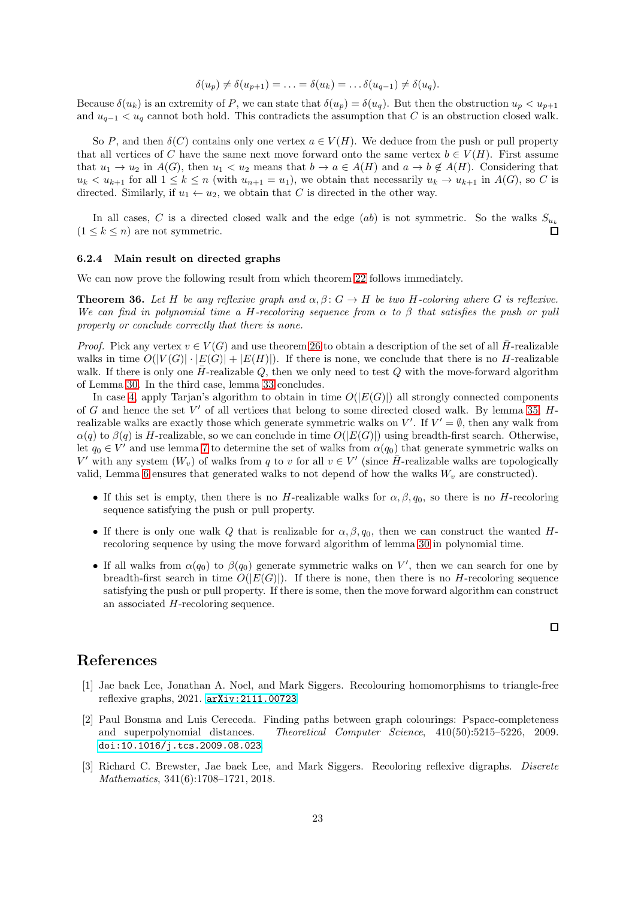$$
\delta(u_p) \neq \delta(u_{p+1}) = \ldots = \delta(u_k) = \ldots \delta(u_{q-1}) \neq \delta(u_q).
$$

Because  $\delta(u_k)$  is an extremity of P, we can state that  $\delta(u_p) = \delta(u_q)$ . But then the obstruction  $u_p < u_{p+1}$ and  $u_{q-1} < u_q$  cannot both hold. This contradicts the assumption that C is an obstruction closed walk.

So P, and then  $\delta(C)$  contains only one vertex  $a \in V(H)$ . We deduce from the push or pull property that all vertices of C have the same next move forward onto the same vertex  $b \in V(H)$ . First assume that  $u_1 \to u_2$  in  $A(G)$ , then  $u_1 < u_2$  means that  $b \to a \in A(H)$  and  $a \to b \notin A(H)$ . Considering that  $u_k < u_{k+1}$  for all  $1 \leq k \leq n$  (with  $u_{n+1} = u_1$ ), we obtain that necessarily  $u_k \to u_{k+1}$  in  $A(G)$ , so C is directed. Similarly, if  $u_1 \leftarrow u_2$ , we obtain that C is directed in the other way.

In all cases, C is a directed closed walk and the edge (ab) is not symmetric. So the walks  $S_{u_k}$  $(1 \leq k \leq n)$  are not symmetric.

#### 6.2.4 Main result on directed graphs

We can now prove the following result from which theorem [22](#page-14-2) follows immediately.

**Theorem 36.** Let H be any reflexive graph and  $\alpha, \beta$ :  $G \rightarrow H$  be two H-coloring where G is reflexive. *We can find in polynomial time a* H*-recoloring sequence from* α *to* β *that satisfies the push or pull property or conclude correctly that there is none.*

*Proof.* Pick any vertex  $v \in V(G)$  and use theorem [26](#page-16-0) to obtain a description of the set of all  $H$ -realizable walks in time  $O(|V(G)| \cdot |E(G)| + |E(H)|)$ . If there is none, we conclude that there is no H-realizable walk. If there is only one  $\bar{H}$ -realizable Q, then we only need to test Q with the move-forward algorithm of Lemma [30.](#page-19-3) In the third case, lemma [33](#page-21-0) concludes.

In case [4,](#page-16-4) apply Tarjan's algorithm to obtain in time  $O(|E(G)|)$  all strongly connected components of  $G$  and hence the set  $V'$  of all vertices that belong to some directed closed walk. By lemma [35,](#page-21-1)  $H$ realizable walks are exactly those which generate symmetric walks on  $V'$ . If  $V' = \emptyset$ , then any walk from  $\alpha(q)$  to  $\beta(q)$  is H-realizable, so we can conclude in time  $O(|E(G)|)$  using breadth-first search. Otherwise, let  $q_0 \in V'$  and use lemma [7](#page-8-4) to determine the set of walks from  $\alpha(q_0)$  that generate symmetric walks on V' with any system  $(W_v)$  of walks from q to v for all  $v \in V'$  (since  $\overline{H}$ -realizable walks are topologically valid, Lemma [6](#page-7-4) ensures that generated walks to not depend of how the walks  $W_v$  are constructed).

- If this set is empty, then there is no H-realizable walks for  $\alpha, \beta, q_0$ , so there is no H-recoloring sequence satisfying the push or pull property.
- If there is only one walk Q that is realizable for  $\alpha, \beta, q_0$ , then we can construct the wanted Hrecoloring sequence by using the move forward algorithm of lemma [30](#page-19-3) in polynomial time.
- If all walks from  $\alpha(q_0)$  to  $\beta(q_0)$  generate symmetric walks on V', then we can search for one by breadth-first search in time  $O(|E(G)|)$ . If there is none, then there is no H-recoloring sequence satisfying the push or pull property. If there is some, then the move forward algorithm can construct an associated H-recoloring sequence.

 $\Box$ 

# <span id="page-22-0"></span>References

- [1] Jae baek Lee, Jonathan A. Noel, and Mark Siggers. Recolouring homomorphisms to triangle-free reflexive graphs, 2021. [arXiv:2111.00723](http://arxiv.org/abs/2111.00723).
- <span id="page-22-1"></span>[2] Paul Bonsma and Luis Cereceda. Finding paths between graph colourings: Pspace-completeness and superpolynomial distances. *Theoretical Computer Science*, 410(50):5215–5226, 2009. [doi:10.1016/j.tcs.2009.08.023](https://doi.org/10.1016/j.tcs.2009.08.023).
- <span id="page-22-2"></span>[3] Richard C. Brewster, Jae baek Lee, and Mark Siggers. Recoloring reflexive digraphs. *Discrete Mathematics*, 341(6):1708–1721, 2018.